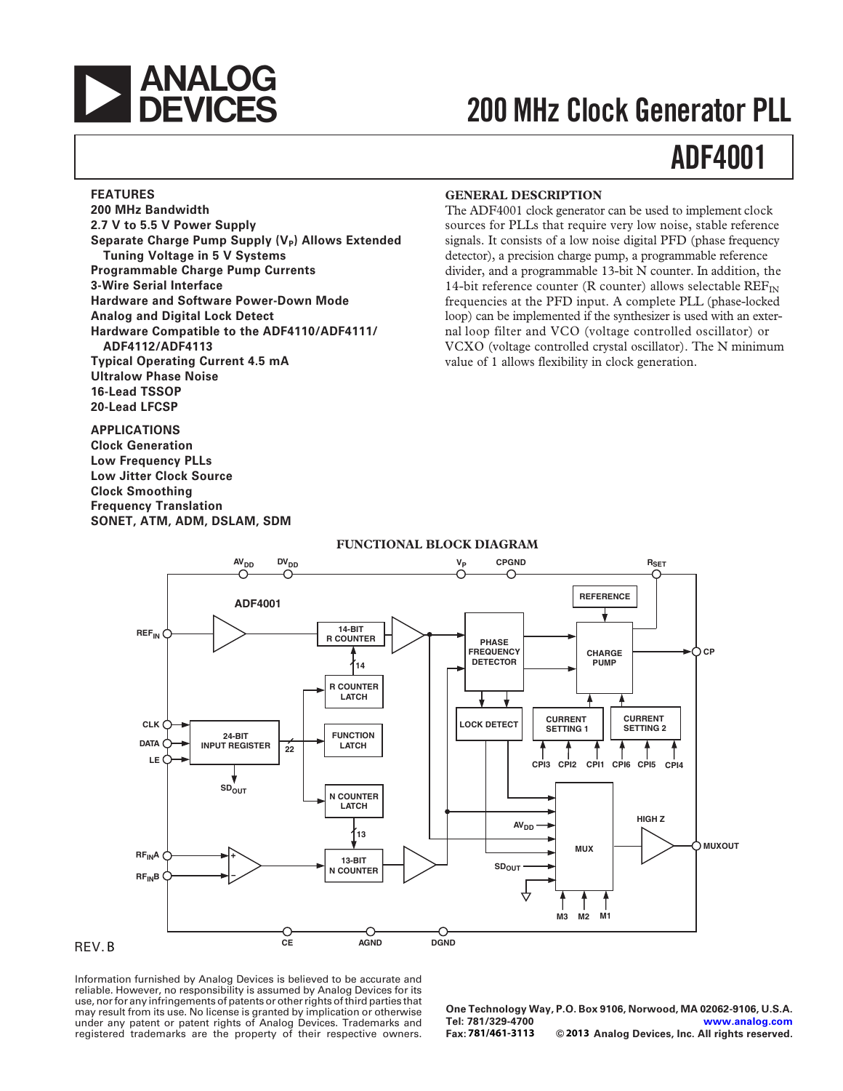

# **200 MHz Clock Generator PLL**

# **[ADF4001](http://www.analog.com/adF4001?doc=adF4001.pdf)**

#### **FEATURES**

**200 MHz Bandwidth 2.7 V to 5.5 V Power Supply** Separate Charge Pump Supply (V<sub>P</sub>) Allows Extended **Tuning Voltage in 5 V Systems Programmable Charge Pump Currents 3-Wire Serial Interface Hardware and Software Power-Down Mode Analog and Digital Lock Detect Hardware Compatible to the ADF4110/ADF4111/ ADF4112/ADF4113 Typical Operating Current 4.5 mA Ultralow Phase Noise 16-Lead TSSOP 20-Lead LFCSP**

**APPLICATIONS Clock Generation Low Frequency PLLs Low Jitter Clock Source Clock Smoothing Frequency Translation SONET, ATM, ADM, DSLAM, SDM**

#### **GENERAL DESCRIPTION**

The ADF4001 clock generator can be used to implement clock sources for PLLs that require very low noise, stable reference signals. It consists of a low noise digital PFD (phase frequency detector), a precision charge pump, a programmable reference divider, and a programmable 13-bit N counter. In addition, the 14-bit reference counter (R counter) allows selectable  $REF_{IN}$ frequencies at the PFD input. A complete PLL (phase-locked loop) can be implemented if the synthesizer is used with an external loop filter and VCO (voltage controlled oscillator) or VCXO (voltage controlled crystal oscillator). The N minimum value of 1 allows flexibility in clock generation.



#### **FUNCTIONAL BLOCK DIAGRAM**

#### REV.

Information furnished by Analog Devices is believed to be accurate and reliable. However, no responsibility is assumed by Analog Devices for its use, nor for any infringements of patents or other rights of third parties that mation furnished by Analog Devices is believed to be accurate and<br>
reliable. However, no responsibility is assumed by Analog Devices for its<br>
use, nor for any infringements of patents or other rights of third parties that<br> registered trademarks are the property of their respective owners.

**One Technology Way, P.O. Box 9106, Norwood, MA 02062-9106, U.S.A. Tel: 781/329-4700 [www.analog.com](http://www.analog.com)**  $© 2013$  Analog Devices, Inc. All rights reserved.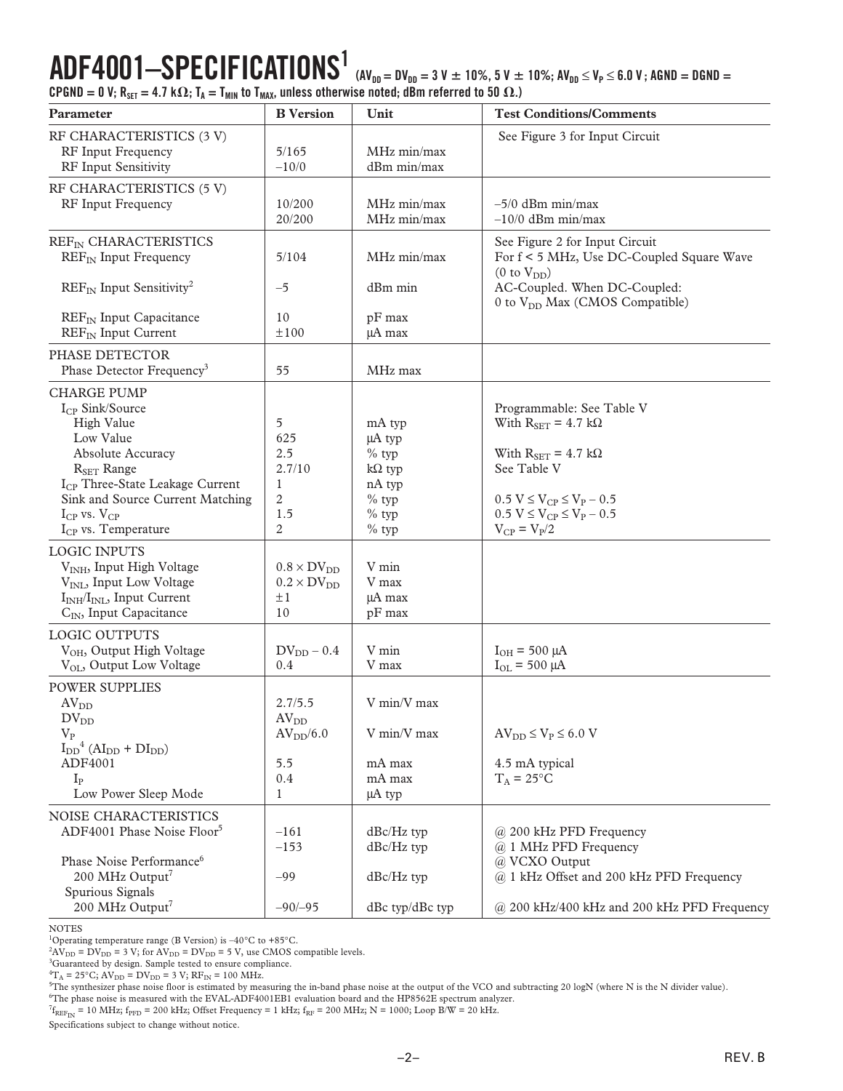**ADF4001–SPECIFICATIONS1 (AVDD = DVDD = 3 V 10%, 5 V 10%; AVDD** ≤ **VP** ≤ **6.0 V ; AGND = DGND =**  $CPGND = 0$  V;  $R_{SET} = 4.7$  k $\Omega$ ;  $T_A = T_{MIN}$  to  $T_{MAX}$ , unless otherwise noted; dBm referred to 50  $\Omega$ .)

| Parameter                                                                                                                                                                                                                                                                  | <b>B</b> Version                                                        | Unit                                                                                    | <b>Test Conditions/Comments</b>                                                                                                                                                                                     |  |  |  |  |  |  |
|----------------------------------------------------------------------------------------------------------------------------------------------------------------------------------------------------------------------------------------------------------------------------|-------------------------------------------------------------------------|-----------------------------------------------------------------------------------------|---------------------------------------------------------------------------------------------------------------------------------------------------------------------------------------------------------------------|--|--|--|--|--|--|
| RF CHARACTERISTICS (3 V)<br>RF Input Frequency<br>RF Input Sensitivity                                                                                                                                                                                                     | 5/165<br>$-10/0$                                                        | MHz min/max<br>dBm min/max                                                              | See Figure 3 for Input Circuit                                                                                                                                                                                      |  |  |  |  |  |  |
| RF CHARACTERISTICS (5 V)<br>RF Input Frequency                                                                                                                                                                                                                             | 10/200<br>20/200                                                        | MHz min/max<br>MHz min/max                                                              | $-5/0$ dBm min/max<br>$-10/0$ dBm min/max                                                                                                                                                                           |  |  |  |  |  |  |
| REF <sub>IN</sub> CHARACTERISTICS<br>$REF_{IN}$ Input Frequency                                                                                                                                                                                                            | 5/104                                                                   | MHz min/max                                                                             | See Figure 2 for Input Circuit<br>For f < 5 MHz, Use DC-Coupled Square Wave<br>(0 to V <sub>DD</sub> )                                                                                                              |  |  |  |  |  |  |
| $REF_{IN}$ Input Sensitivity <sup>2</sup><br>REF <sub>IN</sub> Input Capacitance<br>REF <sub>IN</sub> Input Current                                                                                                                                                        | $-5$<br>10<br>±100                                                      | dBm min<br>pF max<br>μA max                                                             | AC-Coupled. When DC-Coupled:<br>0 to V <sub>DD</sub> Max (CMOS Compatible)                                                                                                                                          |  |  |  |  |  |  |
| PHASE DETECTOR<br>Phase Detector Frequency <sup>3</sup>                                                                                                                                                                                                                    | 55                                                                      | MHz max                                                                                 |                                                                                                                                                                                                                     |  |  |  |  |  |  |
| <b>CHARGE PUMP</b><br>$I_{CP}$ Sink/Source<br>High Value<br>Low Value<br><b>Absolute Accuracy</b><br>$R_{\text{SET}}$ Range<br>I <sub>CP</sub> Three-State Leakage Current<br>Sink and Source Current Matching<br>$I_{CP}$ vs. $V_{CP}$<br>I <sub>CP</sub> vs. Temperature | 5<br>625<br>2.5<br>2.7/10<br>1<br>2<br>1.5<br>2                         | mA typ<br>μA typ<br>$%$ typ<br>$k\Omega$ typ<br>nA typ<br>$%$ typ<br>$%$ typ<br>$%$ typ | Programmable: See Table V<br>With $R_{\text{SET}} = 4.7 \text{ k}\Omega$<br>With $R_{SET} = 4.7 k\Omega$<br>See Table V<br>$0.5 V \le V_{CP} \le V_P - 0.5$<br>$0.5 V \le V_{CP} \le V_P - 0.5$<br>$V_{CP} = V_P/2$ |  |  |  |  |  |  |
| <b>LOGIC INPUTS</b><br>V <sub>INH</sub> , Input High Voltage<br>V <sub>INL</sub> , Input Low Voltage<br>I <sub>INH</sub> /I <sub>INL</sub> , Input Current<br>C <sub>IN</sub> , Input Capacitance                                                                          | $0.8 \times DV_{DD}$<br>$0.2 \times DV_{DD}$<br>±1<br>10                | V min<br>V max<br>µA max<br>pF max                                                      |                                                                                                                                                                                                                     |  |  |  |  |  |  |
| <b>LOGIC OUTPUTS</b><br>V <sub>OH</sub> , Output High Voltage<br>V <sub>OL</sub> , Output Low Voltage                                                                                                                                                                      | $DV_{DD}$ – 0.4<br>0.4                                                  | V min<br>V max                                                                          | $I_{OH} = 500 \mu A$<br>$I_{OL} = 500 \mu A$                                                                                                                                                                        |  |  |  |  |  |  |
| <b>POWER SUPPLIES</b><br>$AV_{DD}$<br>$\rm DV_{DD}$<br>$V_{P}$<br>$I_{DD}$ <sup>4</sup> (AI <sub>DD</sub> + DI <sub>DD</sub> )<br>ADF4001<br>$I_{P}$<br>Low Power Sleep Mode                                                                                               | 2.7/5.5<br>AV <sub>DD</sub><br>AV <sub>DD</sub> /6.0<br>5.5<br>0.4<br>1 | V min/V max<br>V min/V max<br>mA max<br>mA max<br>μA typ                                | $AV_{DD} \leq V_P \leq 6.0 V$<br>4.5 mA typical<br>$T_A = 25$ °C                                                                                                                                                    |  |  |  |  |  |  |
| NOISE CHARACTERISTICS<br>ADF4001 Phase Noise Floor <sup>5</sup><br>Phase Noise Performance <sup>6</sup><br>200 MHz Output <sup>7</sup><br>Spurious Signals                                                                                                                 | $-161$<br>$-153$<br>$-99$                                               | $dBc/Hz$ typ<br>dBc/Hz typ<br>dBc/Hz typ                                                | @ 200 kHz PFD Frequency<br>@ 1 MHz PFD Frequency<br>@ VCXO Output<br>@ 1 kHz Offset and 200 kHz PFD Frequency                                                                                                       |  |  |  |  |  |  |
| 200 MHz Output <sup>7</sup>                                                                                                                                                                                                                                                | $-90/-95$                                                               | dBc typ/dBc typ                                                                         | @ 200 kHz/400 kHz and 200 kHz PFD Frequency                                                                                                                                                                         |  |  |  |  |  |  |

NOTES

<sup>1</sup>Operating temperature range (B Version) is  $-40^{\circ}$ C to  $+85^{\circ}$ C.

 ${}^{2}AV_{DD} = DV_{DD} = 3 V$ ; for  $AV_{DD} = DV_{DD} = 5 V$ , use CMOS compatible levels.

<sup>3</sup>Guaranteed by design. Sample tested to ensure compliance.

 ${}^{4}T_{A} = 25^{\circ}C$ ; AV<sub>DD</sub> = DV<sub>DD</sub> = 3 V; RF<sub>IN</sub> = 100 MHz.

<sup>5</sup>The synthesizer phase noise floor is estimated by measuring the in-band phase noise at the output of the VCO and subtracting 20 logN (where N is the N divider value).

6 The phase noise is measured with the EVAL-ADF4001EB1 evaluation board and the HP8562E spectrum analyzer.

 $^{7}$ f<sub>REF<sub>IN</sub> = 10 MHz; f<sub>PFD</sub> = 200 kHz; Offset Frequency = 1 kHz; f<sub>RF</sub> = 200 MHz; N = 1000; Loop B/W = 20 kHz.</sub>

Specifications subject to change without notice.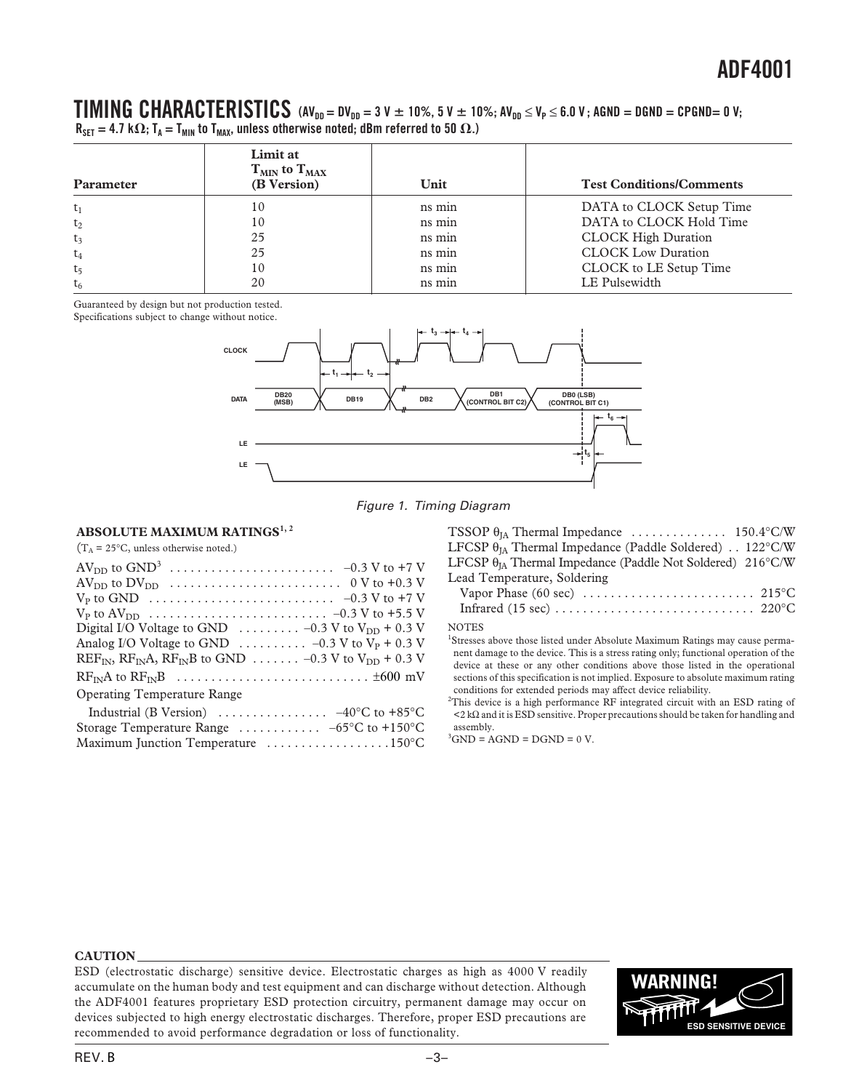#### $\blacksquare$  **TIMING** CHARACTERISTICS (AV<sub>DD</sub> = DV<sub>DD</sub> = 3 V  $\pm$  10%, 5 V  $\pm$  10%; AV<sub>DD</sub>  $\leq$  V<sub>p</sub>  $\leq$  6.0 V; AGND = DGND = CPGND= 0 V;  $R_{\sf SET} = 4.7 \; \text{k}\Omega$ ; T<sub>A</sub> = T<sub>MIN</sub> to T<sub>MAX</sub>, unless otherwise noted; dBm referred to 50  $\Omega$ .)

| Parameter      | Limit at<br>$T_{MIN}$ to $T_{MAX}$<br>(B Version) | Unit   | <b>Test Conditions/Comments</b> |
|----------------|---------------------------------------------------|--------|---------------------------------|
| $t_1$          | 10                                                | ns min | DATA to CLOCK Setup Time        |
| $t_2$          | 10                                                | ns min | DATA to CLOCK Hold Time         |
| $t_3$          | 25                                                | ns min | <b>CLOCK High Duration</b>      |
| $t_4$          | 25                                                | ns min | <b>CLOCK Low Duration</b>       |
| t <sub>5</sub> | 10                                                | ns min | CLOCK to LE Setup Time          |
| $t_6$          | 20                                                | ns min | LE Pulsewidth                   |

Guaranteed by design but not production tested.

Specifications subject to change without notice.



Figure 1. Timing Diagram

#### **ABSOLUTE MAXIMUM RATINGS1, 2**

 $(T_A = 25\degree C$ , unless otherwise noted.)

| TSSOP $\theta_{IA}$ Thermal Impedance  150.4°C/W                    |                |
|---------------------------------------------------------------------|----------------|
| LFCSP $\theta_{IA}$ Thermal Impedance (Paddle Soldered) 122°C/W     |                |
| LFCSP $\theta_{IA}$ Thermal Impedance (Paddle Not Soldered) 216°C/W |                |
| Lead Temperature, Soldering                                         |                |
| Vanor Phase (60 sec)                                                | $215^{\circ}C$ |

| Vapor Phase (60 sec) $\dots \dots \dots \dots \dots \dots \dots \dots \dots$ 215 °C |  |  |  |  |  |  |  |  |  |  |  |
|-------------------------------------------------------------------------------------|--|--|--|--|--|--|--|--|--|--|--|
|                                                                                     |  |  |  |  |  |  |  |  |  |  |  |

#### NOTES

<sup>1</sup>Stresses above those listed under Absolute Maximum Ratings may cause permanent damage to the device. This is a stress rating only; functional operation of the device at these or any other conditions above those listed in the operational sections of this specification is not implied. Exposure to absolute maximum rating conditions for extended periods may affect device reliability.

<sup>2</sup>This device is a high performance RF integrated circuit with an ESD rating of <2 kΩ and it is ESD sensitive. Proper precautions should be taken for handling and assembly.

 ${}^{3}$ GND = AGND = DGND = 0 V.

#### **CAUTION**

ESD (electrostatic discharge) sensitive device. Electrostatic charges as high as 4000 V readily accumulate on the human body and test equipment and can discharge without detection. Although the ADF4001 features proprietary ESD protection circuitry, permanent damage may occur on devices subjected to high energy electrostatic discharges. Therefore, proper ESD precautions are recommended to avoid performance degradation or loss of functionality.

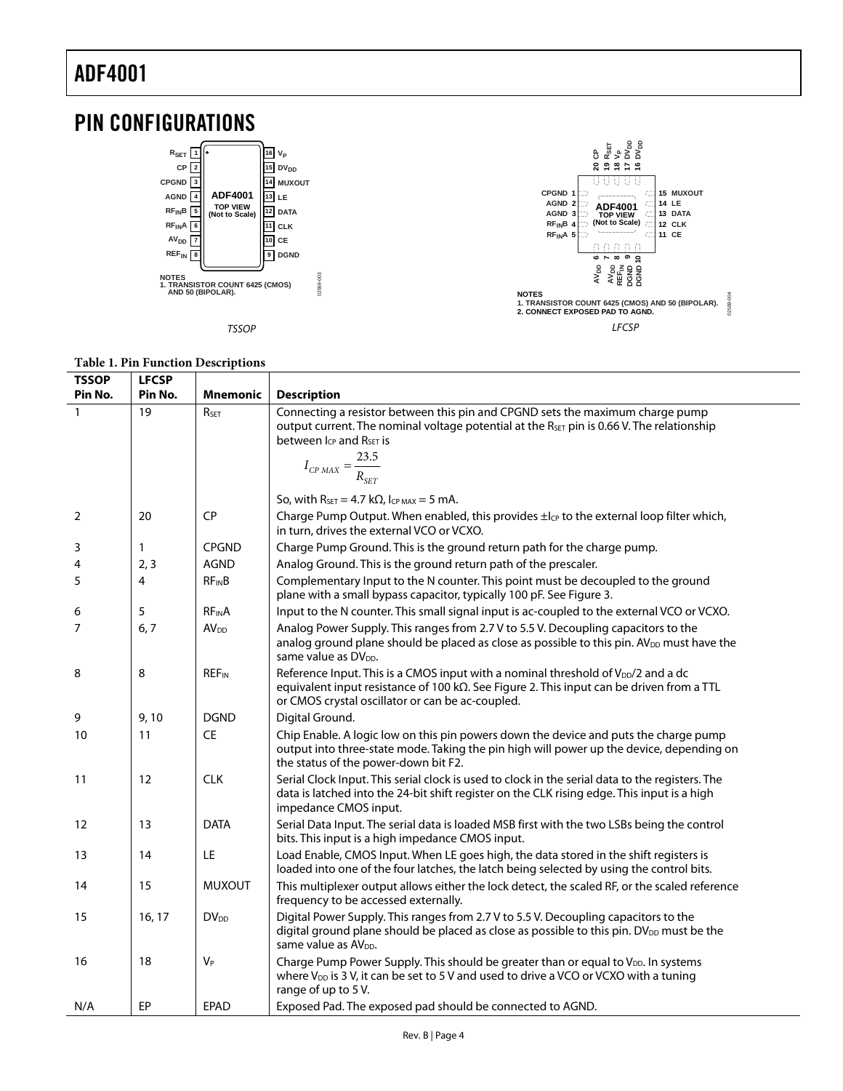

| <b>TSSOP</b>   | <b>LFCSP</b> |                         |                                                                                                                                                                                                                                                        |
|----------------|--------------|-------------------------|--------------------------------------------------------------------------------------------------------------------------------------------------------------------------------------------------------------------------------------------------------|
| Pin No.        | Pin No.      | <b>Mnemonic</b>         | <b>Description</b>                                                                                                                                                                                                                                     |
| $\mathbf{1}$   | 19           | RSET                    | Connecting a resistor between this pin and CPGND sets the maximum charge pump<br>output current. The nominal voltage potential at the R <sub>SET</sub> pin is 0.66 V. The relationship<br>between $I_{CP}$ and $R_{SET}$ is                            |
|                |              |                         | $I_{CP \, MAX} = \frac{23.5}{R_{SET}}$                                                                                                                                                                                                                 |
|                |              |                         | So, with $R_{\text{SET}} = 4.7 \text{ k}\Omega$ , Icp MAX = 5 mA.                                                                                                                                                                                      |
| $\overline{2}$ | 20           | CP                      | Charge Pump Output. When enabled, this provides $\pm l_{CP}$ to the external loop filter which,<br>in turn, drives the external VCO or VCXO.                                                                                                           |
| 3              | 1            | <b>CPGND</b>            | Charge Pump Ground. This is the ground return path for the charge pump.                                                                                                                                                                                |
| 4              | 2, 3         | <b>AGND</b>             | Analog Ground. This is the ground return path of the prescaler.                                                                                                                                                                                        |
| 5              | 4            | $RF_{IN}B$              | Complementary Input to the N counter. This point must be decoupled to the ground<br>plane with a small bypass capacitor, typically 100 pF. See Figure 3.                                                                                               |
| 6              | 5            | <b>RFINA</b>            | Input to the N counter. This small signal input is ac-coupled to the external VCO or VCXO.                                                                                                                                                             |
| $\overline{7}$ | 6, 7         | AV <sub>DD</sub>        | Analog Power Supply. This ranges from 2.7 V to 5.5 V. Decoupling capacitors to the<br>analog ground plane should be placed as close as possible to this pin. AV <sub>DD</sub> must have the<br>same value as DV <sub>DD</sub> .                        |
| 8              | 8            | <b>REF<sub>IN</sub></b> | Reference Input. This is a CMOS input with a nominal threshold of V <sub>DD</sub> /2 and a dc<br>equivalent input resistance of 100 k $\Omega$ . See Figure 2. This input can be driven from a TTL<br>or CMOS crystal oscillator or can be ac-coupled. |
| 9              | 9,10         | <b>DGND</b>             | Digital Ground.                                                                                                                                                                                                                                        |
| 10             | 11           | <b>CE</b>               | Chip Enable. A logic low on this pin powers down the device and puts the charge pump<br>output into three-state mode. Taking the pin high will power up the device, depending on<br>the status of the power-down bit F2.                               |
| 11             | 12           | <b>CLK</b>              | Serial Clock Input. This serial clock is used to clock in the serial data to the registers. The<br>data is latched into the 24-bit shift register on the CLK rising edge. This input is a high<br>impedance CMOS input.                                |
| 12             | 13           | <b>DATA</b>             | Serial Data Input. The serial data is loaded MSB first with the two LSBs being the control<br>bits. This input is a high impedance CMOS input.                                                                                                         |
| 13             | 14           | LE                      | Load Enable, CMOS Input. When LE goes high, the data stored in the shift registers is<br>loaded into one of the four latches, the latch being selected by using the control bits.                                                                      |
| 14             | 15           | <b>MUXOUT</b>           | This multiplexer output allows either the lock detect, the scaled RF, or the scaled reference<br>frequency to be accessed externally.                                                                                                                  |
| 15             | 16, 17       | <b>DV</b> <sub>DD</sub> | Digital Power Supply. This ranges from 2.7 V to 5.5 V. Decoupling capacitors to the<br>digital ground plane should be placed as close as possible to this pin. DV <sub>DD</sub> must be the<br>same value as AV <sub>DD</sub> .                        |
| 16             | 18           | $V_P$                   | Charge Pump Power Supply. This should be greater than or equal to V <sub>DD</sub> . In systems<br>where $V_{DD}$ is 3 V, it can be set to 5 V and used to drive a VCO or VCXO with a tuning<br>range of up to 5V.                                      |
| N/A            | EP           | <b>EPAD</b>             | Exposed Pad. The exposed pad should be connected to AGND.                                                                                                                                                                                              |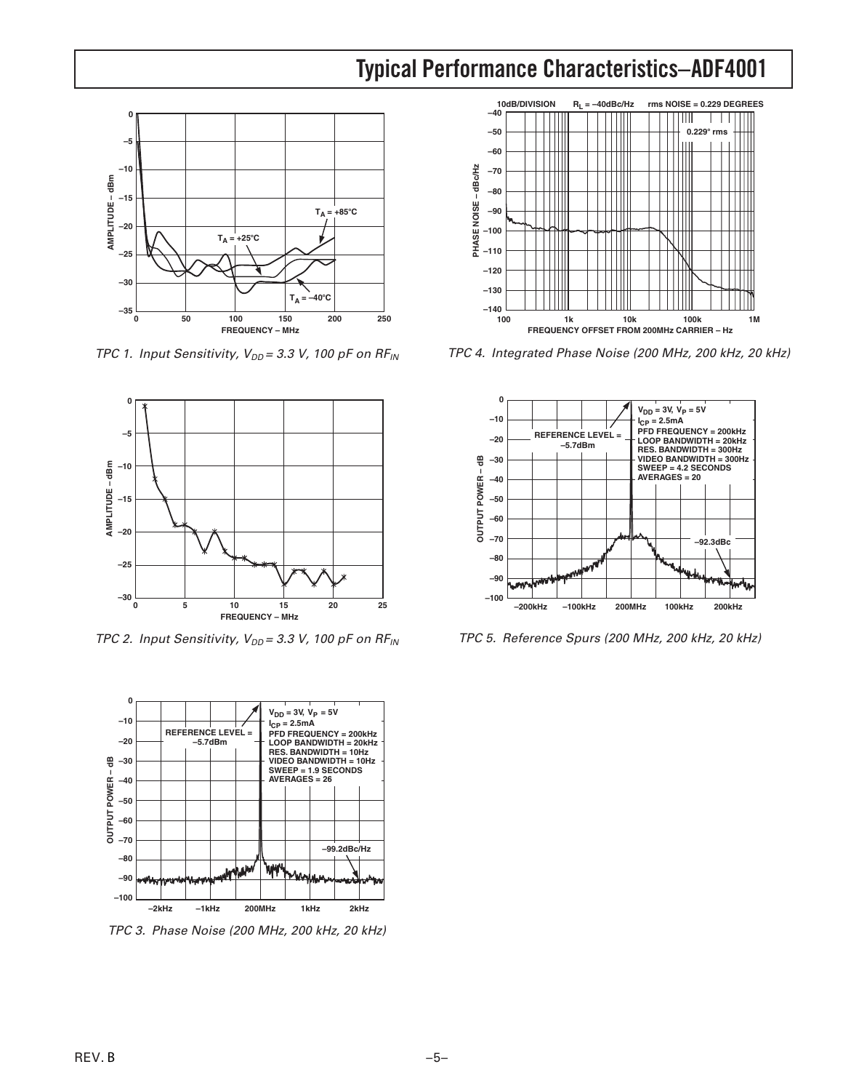### **Typical Performance Characteristics–ADF4001**



TPC 1. Input Sensitivity,  $V_{DD} = 3.3$  V, 100 pF on RF<sub>IN</sub>



TPC 2. Input Sensitivity,  $V_{DD} = 3.3$  V, 100 pF on RF<sub>IN</sub>



TPC 3. Phase Noise (200 MHz, 200 kHz, 20 kHz)



TPC 4. Integrated Phase Noise (200 MHz, 200 kHz, 20 kHz)



TPC 5. Reference Spurs (200 MHz, 200 kHz, 20 kHz)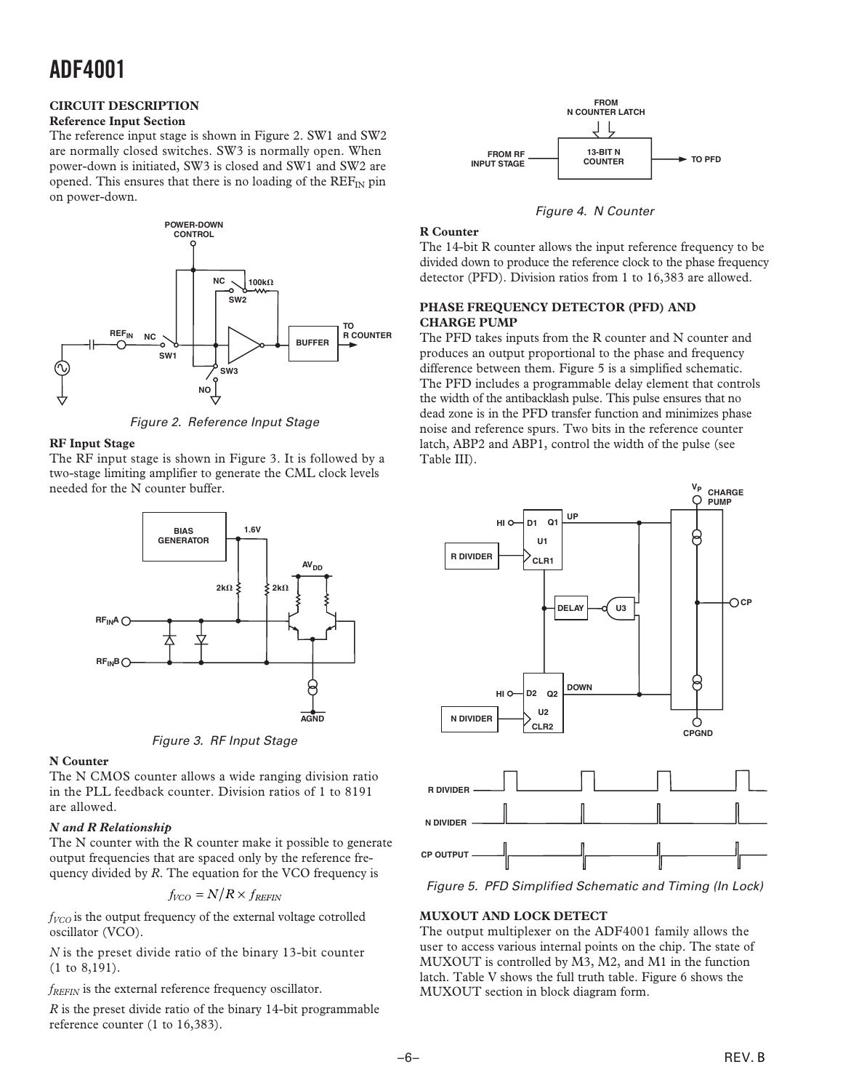#### **CIRCUIT DESCRIPTION**

#### **Reference Input Section**

The reference input stage is shown in Figure 2. SW1 and SW2 are normally closed switches. SW3 is normally open. When power-down is initiated, SW3 is closed and SW1 and SW2 are opened. This ensures that there is no loading of the  $REF_{IN}$  pin on power-down.



Figure 2. Reference Input Stage

#### **RF Input Stage**

The RF input stage is shown in Figure 3. It is followed by a two-stage limiting amplifier to generate the CML clock levels needed for the N counter buffer.



Figure 3. RF Input Stage

#### **N Counter**

The N CMOS counter allows a wide ranging division ratio in the PLL feedback counter. Division ratios of 1 to 8191 are allowed.

#### *N and R Relationship*

The N counter with the R counter make it possible to generate output frequencies that are spaced only by the reference frequency divided by *R*. The equation for the VCO frequency is

$$
f_{VCO} = N/R \times f_{REFIN}
$$

*fVCO* is the output frequency of the external voltage cotrolled oscillator (VCO).

*N* is the preset divide ratio of the binary 13-bit counter (1 to 8,191).

*fREFIN* is the external reference frequency oscillator.

*R* is the preset divide ratio of the binary 14-bit programmable reference counter (1 to 16,383).



Figure 4. N Counter

#### **R Counter**

The 14-bit R counter allows the input reference frequency to be divided down to produce the reference clock to the phase frequency detector (PFD). Division ratios from 1 to 16,383 are allowed.

#### **PHASE FREQUENCY DETECTOR (PFD) AND CHARGE PUMP**

The PFD takes inputs from the R counter and N counter and produces an output proportional to the phase and frequency difference between them. Figure 5 is a simplified schematic. The PFD includes a programmable delay element that controls the width of the antibacklash pulse. This pulse ensures that no dead zone is in the PFD transfer function and minimizes phase noise and reference spurs. Two bits in the reference counter latch, ABP2 and ABP1, control the width of the pulse (see Table III).



Figure 5. PFD Simplified Schematic and Timing (In Lock)

#### **MUXOUT AND LOCK DETECT**

The output multiplexer on the ADF4001 family allows the user to access various internal points on the chip. The state of MUXOUT is controlled by M3, M2, and M1 in the function latch. Table V shows the full truth table. Figure 6 shows the MUXOUT section in block diagram form.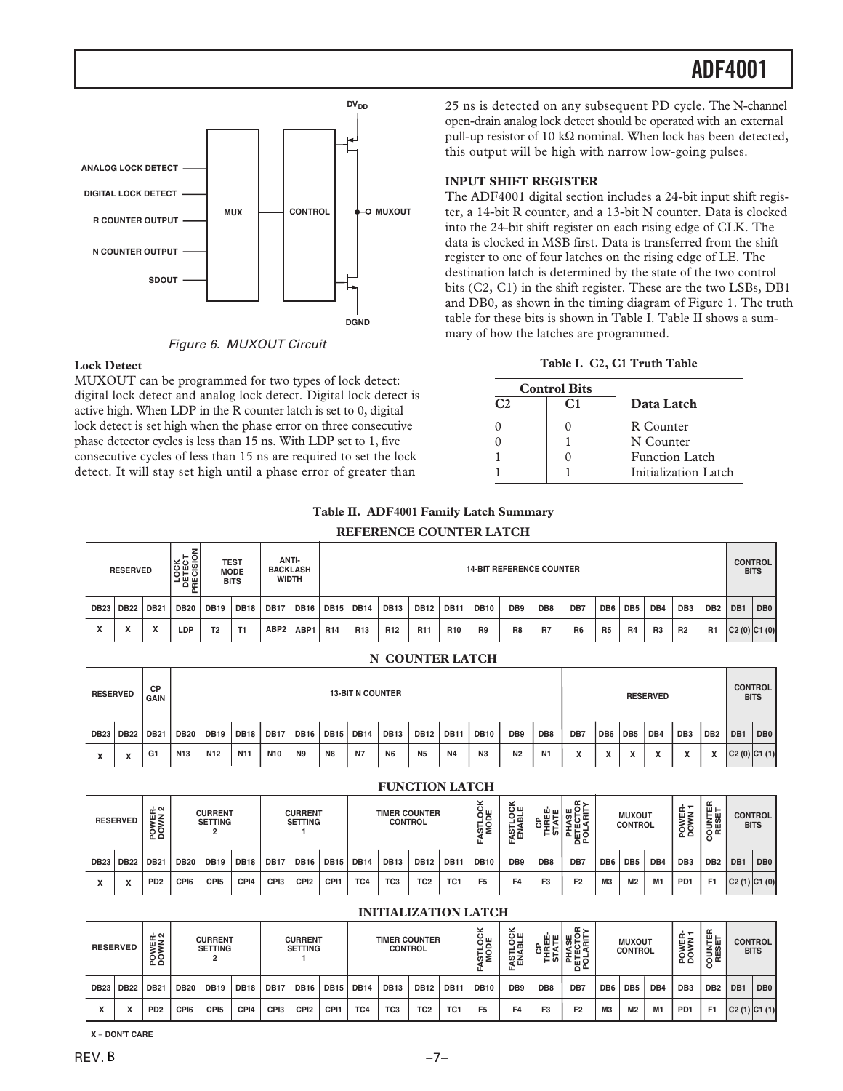



#### **Lock Detect**

MUXOUT can be programmed for two types of lock detect: digital lock detect and analog lock detect. Digital lock detect is active high. When LDP in the R counter latch is set to 0, digital lock detect is set high when the phase error on three consecutive phase detector cycles is less than 15 ns. With LDP set to 1, five consecutive cycles of less than 15 ns are required to set the lock detect. It will stay set high until a phase error of greater than

25 ns is detected on any subsequent PD cycle. The N-channel open-drain analog lock detect should be operated with an external pull-up resistor of 10 kΩ nominal. When lock has been detected, this output will be high with narrow low-going pulses.

#### **INPUT SHIFT REGISTER**

The ADF4001 digital section includes a 24-bit input shift register, a 14-bit R counter, and a 13-bit N counter. Data is clocked into the 24-bit shift register on each rising edge of CLK. The data is clocked in MSB first. Data is transferred from the shift register to one of four latches on the rising edge of LE. The destination latch is determined by the state of the two control bits (C2, C1) in the shift register. These are the two LSBs, DB1 and DB0, as shown in the timing diagram of Figure 1. The truth table for these bits is shown in Table I. Table II shows a summary of how the latches are programmed.

#### **Table I. C2, C1 Truth Table**

|              | <b>Control Bits</b> |                      |
|--------------|---------------------|----------------------|
| $\mathbf{C}$ | C1                  | Data Latch           |
|              |                     | R Counter            |
|              |                     | N Counter            |
|              |                     | Function Latch       |
|              |                     | Initialization Latch |

#### **Table II. ADF4001 Family Latch Summary**

|             | <b>RESERVED</b> |             |             | LOCK<br>DETECT<br>RECISIC | <b>TEST</b><br><b>MODE</b><br><b>BITS</b> | ANTI-<br><b>BACKLASH</b><br><b>WIDTH</b> |             | <b>14-BIT REFERENCE COUNTER</b> |                 |                 |                 |                 |                |                 |                 |                |                 | <b>CONTROL</b><br><b>BITS</b> |                |                 |                 |                 |                 |
|-------------|-----------------|-------------|-------------|---------------------------|-------------------------------------------|------------------------------------------|-------------|---------------------------------|-----------------|-----------------|-----------------|-----------------|----------------|-----------------|-----------------|----------------|-----------------|-------------------------------|----------------|-----------------|-----------------|-----------------|-----------------|
| <b>DB23</b> | <b>DB22</b>     | <b>DB21</b> | <b>DB20</b> | <b>DB19</b>               | <b>DB18</b>                               | <b>DB17</b>                              | <b>DB16</b> | <b>DB15</b>                     | <b>DB14</b>     | <b>DB13</b>     | <b>DB12</b>     | <b>DB11</b>     | <b>DB10</b>    | DB <sub>9</sub> | DB <sub>8</sub> | DB7            | DB <sub>6</sub> | DB <sub>5</sub>               | DB4            | DB <sub>3</sub> | DB <sub>2</sub> | DB <sub>1</sub> | DB <sub>0</sub> |
| $\lambda$   | Λ               | 灬           | ∟DP         | T <sub>2</sub>            | T1                                        | ABP <sub>2</sub>                         | ABP1        | <b>R14</b>                      | R <sub>13</sub> | R <sub>12</sub> | R <sub>11</sub> | R <sub>10</sub> | R <sub>9</sub> | R <sub>8</sub>  | R7              | R <sub>6</sub> | R <sub>5</sub>  | R <sub>4</sub>                | R <sub>3</sub> | <b>R2</b>       | R <sub>1</sub>  | C2(0) C1(0)     |                 |

#### **N COUNTER LATCH**

| <b>RESERVED</b>          |             | <b>CP</b><br><b>GAIN</b> | <b>13-BIT N COUNTER</b> |                 |                 |                  |                |                |             |             |             |                  |                | <b>RESERVED</b> |                |                           |                 |                      |                           |                 |                                          |             |                 |
|--------------------------|-------------|--------------------------|-------------------------|-----------------|-----------------|------------------|----------------|----------------|-------------|-------------|-------------|------------------|----------------|-----------------|----------------|---------------------------|-----------------|----------------------|---------------------------|-----------------|------------------------------------------|-------------|-----------------|
| <b>DB23</b>              | <b>DB22</b> | <b>DB21</b>              | <b>DB20</b>             | <b>DB19</b>     | <b>DB18</b>     | DB <sub>17</sub> | <b>DB16</b>    | <b>DB15</b>    | <b>DB14</b> | <b>DB13</b> | <b>DB12</b> | DB <sub>11</sub> | <b>DB10</b>    | DB <sub>9</sub> | DB8            | DB7                       | DB <sub>6</sub> | DB <sub>5</sub>      | DB4                       | DB <sub>3</sub> | DB <sub>2</sub>                          | DB1         | DB <sub>0</sub> |
| $\overline{\phantom{a}}$ |             | G1                       | N13                     | N <sub>12</sub> | N <sub>11</sub> | N <sub>10</sub>  | N <sub>9</sub> | N <sub>8</sub> | N7          | <b>N6</b>   | <b>N5</b>   | <b>N4</b>        | N <sub>3</sub> | N <sub>2</sub>  | N <sub>1</sub> | $\ddot{\phantom{1}}$<br>́ |                 | $\ddot{\phantom{1}}$ | $\lambda$<br>$\mathbf{r}$ | $\mathbf{v}$    | $\overline{\phantom{a}}$<br>$\mathbf{v}$ | C2(0) C1(1) |                 |

|             | 1 UNU 110N LATUH              |                        |                                                                      |                  |             |                  |                                        |             |             |                 |                        |                          |                   |                             |                                 |                |                 |                 |                                 |                               |                 |             |                 |
|-------------|-------------------------------|------------------------|----------------------------------------------------------------------|------------------|-------------|------------------|----------------------------------------|-------------|-------------|-----------------|------------------------|--------------------------|-------------------|-----------------------------|---------------------------------|----------------|-----------------|-----------------|---------------------------------|-------------------------------|-----------------|-------------|-----------------|
|             | <b>RESERVED</b>               | ᅹᅁ<br><b>WEI</b><br>28 | <b>CURRENT</b><br><b>CURRENT</b><br><b>SETTING</b><br><b>SETTING</b> |                  |             |                  | <b>TIMER COUNTER</b><br><b>CONTROL</b> |             |             |                 | ⊻<br>이<br>이번<br>렳<br>ш | šщ<br><b>ASTLO</b><br>LΣ | 빠쁜<br>∸<br>ا دە ⊒ | ≃ ><br>₩H<br>둩<br>≝<br>'트륨인 | <b>MUXOUT</b><br><b>CONTROL</b> |                |                 | - 소드<br>POWEI   | ' ⊞ ⊢<br><b>COUNTI</b><br>RESET | <b>CONTROL</b><br><b>BITS</b> |                 |             |                 |
| <b>DB23</b> | <b>DB22</b>                   | DB <sub>2</sub>        | <b>DB20</b>                                                          | <b>DB19</b>      | <b>DB18</b> | <b>DB17</b>      | <b>DB16</b>                            | <b>DB15</b> | <b>DB14</b> | <b>DB13</b>     | <b>DB12</b>            | <b>DB11</b>              | <b>DB10</b>       | DB <sub>9</sub>             | DB8                             | DB7            | DB <sub>6</sub> | DB <sub>5</sub> | DB4                             | DB <sub>3</sub>               | DB <sub>2</sub> | DB1         | DB <sub>0</sub> |
| A           | $\overline{\phantom{a}}$<br>л | PD <sub>2</sub>        | CPI6                                                                 | CP <sub>15</sub> | CPI4        | CP <sub>13</sub> | CPI <sub>2</sub>                       | CPI1        | TC4         | TC <sub>3</sub> | TC <sub>2</sub>        | TC <sub>1</sub>          | F <sub>5</sub>    | F <sub>4</sub>              | F <sub>3</sub>                  | F <sub>2</sub> | M3              | M <sub>2</sub>  | M1                              | PD <sub>1</sub>               | F <sub>1</sub>  | C2(1) C1(0) |                 |

**FUNCTION LATCH**

#### **INITIALIZATION LATCH**

|                          | <b>RESERVED</b> | POWER-<br>DOWN 2 |                  | <b>CURRENT</b><br><b>SETTING</b> |             |                 | <b>CURRENT</b><br><b>SETTING</b> |                  |             | <b>TIMER COUNTER</b><br><b>CONTROL</b> |                 |                 | $\overline{8}$ $\overline{9}$<br>٠<br>없 | šщ<br>FASTLO<br>ENABL | шш<br>필토<br>ల≑  | <b>∝</b><br>₩Ŗ<br>. œ<br>모임후나여<br>ᅙᅀ |                 | <b>MUXOUT</b><br><b>CONTROL</b> |     | 6≩<br>≥<br>οç<br>ᅀ | ш⊢<br>⊢ய<br><b>SESI</b> |                 | <b>CONTROL</b><br><b>BITS</b> |
|--------------------------|-----------------|------------------|------------------|----------------------------------|-------------|-----------------|----------------------------------|------------------|-------------|----------------------------------------|-----------------|-----------------|-----------------------------------------|-----------------------|-----------------|--------------------------------------|-----------------|---------------------------------|-----|--------------------|-------------------------|-----------------|-------------------------------|
| <b>DB23</b>              | <b>DB22</b>     | <b>DB21</b>      | <b>DB20</b>      | <b>DB19</b>                      | <b>DB18</b> | DB <sub>1</sub> | <b>DB16</b>                      | <b>DB15</b>      | <b>DB14</b> | <b>DB13</b>                            | <b>DB12</b>     | <b>DB11</b>     | <b>DB10</b>                             | DB <sub>9</sub>       | DB <sub>8</sub> | DB7                                  | DB <sub>6</sub> | DB <sub>5</sub>                 | DB4 | DB3                | DB <sub>2</sub>         | DB <sub>1</sub> | DB <sub>0</sub>               |
| $\overline{\phantom{a}}$ |                 | PD <sub>2</sub>  | CP <sub>16</sub> | CP <sub>I5</sub>                 | CPI4        | CPI3            | CPI <sub>2</sub>                 | CPI <sup>-</sup> | TC4         | TC <sub>3</sub>                        | TC <sub>2</sub> | TC <sub>1</sub> | F <sub>5</sub>                          | F4                    | F <sub>3</sub>  | F <sub>2</sub>                       | M <sub>3</sub>  | M <sub>2</sub>                  | M1  | <b>PD1</b>         | F1                      |                 | $C2(1)$ $C1(1)$               |

**X = DON'T CARE**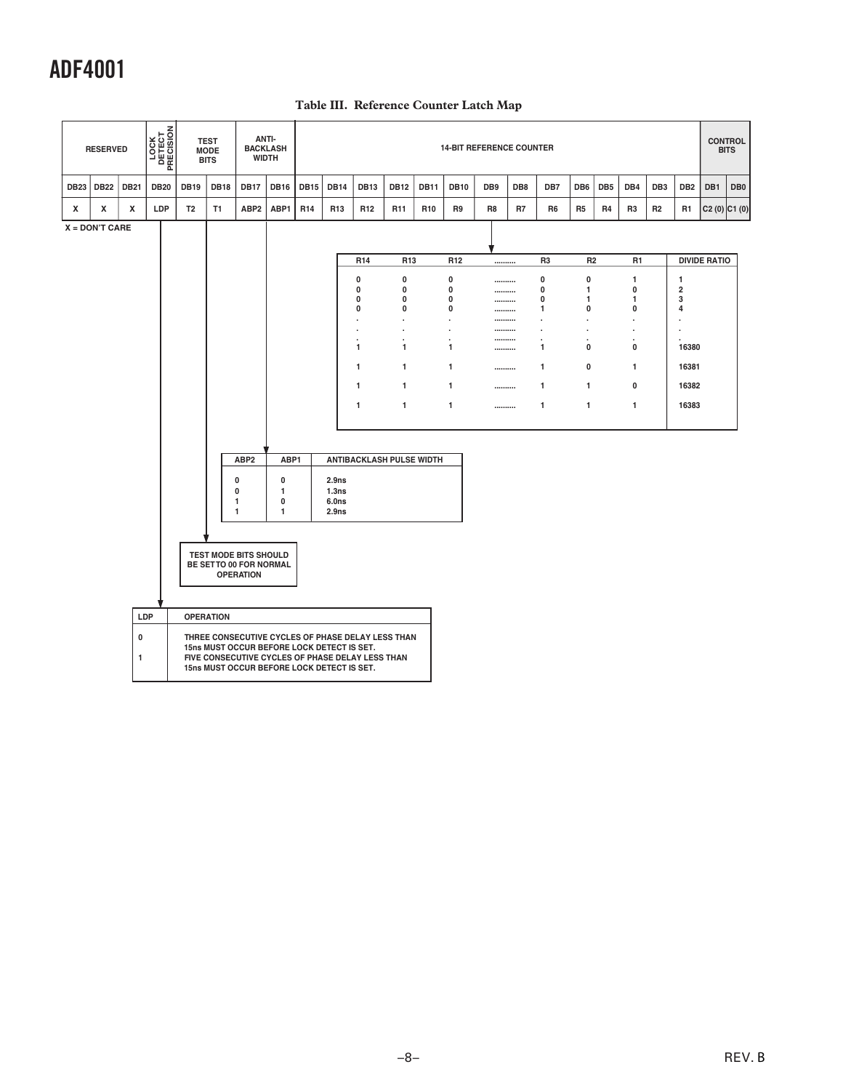|                | <b>RESERVED</b> |             | LOCK<br>DETECT<br>PRECISION |                | <b>TEST</b><br><b>MODE</b><br><b>BITS</b> | ANTI-<br><b>BACKLASH</b><br><b>WIDTH</b>                                                 |              |                 |                   |                                                   |                  |                 |                               | <b>14-BIT REFERENCE COUNTER</b> |     |                |                |     |                               |                 |                      |                     | <b>CONTROL</b><br><b>BITS</b> |
|----------------|-----------------|-------------|-----------------------------|----------------|-------------------------------------------|------------------------------------------------------------------------------------------|--------------|-----------------|-------------------|---------------------------------------------------|------------------|-----------------|-------------------------------|---------------------------------|-----|----------------|----------------|-----|-------------------------------|-----------------|----------------------|---------------------|-------------------------------|
| DB23           | <b>DB22</b>     | <b>DB21</b> | <b>DB20</b>                 | <b>DB19</b>    | <b>DB18</b>                               | <b>DB17</b>                                                                              | <b>DB16</b>  | <b>DB15</b>     | <b>DB14</b>       | <b>DB13</b>                                       | <b>DB12</b>      | <b>DB11</b>     | <b>DB10</b>                   | DB <sub>9</sub>                 | DB8 | DB7            | DB6            | DB5 | DB4                           | DB <sub>3</sub> | DB <sub>2</sub>      | DB1                 | DB <sub>0</sub>               |
| x              | x               | x           | LDP                         | T <sub>2</sub> | T1                                        | ABP2                                                                                     | ABP1         | R <sub>14</sub> | R <sub>13</sub>   | R <sub>12</sub>                                   | R <sub>11</sub>  | R <sub>10</sub> | R9                            | R8                              | R7  | R <sub>6</sub> | R <sub>5</sub> | R4  | R <sub>3</sub>                | R <sub>2</sub>  | R <sub>1</sub>       |                     | $C2(0)$ $ C1(0) $             |
| X = DON'T CARE |                 |             |                             |                |                                           |                                                                                          |              |                 |                   |                                                   |                  |                 |                               |                                 |     |                |                |     |                               |                 |                      |                     |                               |
|                |                 |             |                             |                |                                           |                                                                                          |              |                 |                   |                                                   |                  |                 |                               |                                 |     |                |                |     |                               |                 |                      |                     |                               |
|                |                 |             |                             |                |                                           |                                                                                          |              |                 |                   | R <sub>14</sub>                                   | R <sub>13</sub>  |                 | R <sub>12</sub>               |                                 |     | R <sub>3</sub> | R <sub>2</sub> |     | R <sub>1</sub>                |                 |                      | <b>DIVIDE RATIO</b> |                               |
|                |                 |             |                             |                |                                           |                                                                                          |              |                 |                   | $\pmb{0}$                                         | $\pmb{0}$        |                 | 0                             |                                 |     | 0              | $\pmb{0}$      |     | 1                             |                 | 1                    |                     |                               |
|                |                 |             |                             |                |                                           |                                                                                          |              |                 |                   | $\bf{0}$<br>$\bf{0}$                              | $\mathbf 0$<br>0 |                 | $\bf{0}$<br>0                 |                                 |     | 0<br>0         | 1<br>1         |     | $\mathbf{0}$<br>$\mathbf{1}$  |                 | $\overline{2}$<br>3  |                     |                               |
|                |                 |             |                             |                |                                           |                                                                                          |              |                 |                   | $\mathbf 0$                                       | $\mathbf 0$      |                 | 0                             | <br>                            |     | 1              | $\bf{0}$       |     | $\mathbf 0$                   |                 | 4                    |                     |                               |
|                |                 |             |                             |                |                                           |                                                                                          |              |                 |                   | ٠                                                 | $\cdot$          |                 | $\cdot$                       |                                 |     | $\cdot$        | $\cdot$        |     | $\cdot$                       |                 | $\cdot$              |                     |                               |
|                |                 |             |                             |                |                                           |                                                                                          |              |                 |                   | ٠                                                 |                  |                 | $\cdot$                       |                                 |     | ä,             | $\cdot$        |     | $\cdot$                       |                 | $\ddot{\phantom{0}}$ |                     |                               |
|                |                 |             |                             |                |                                           |                                                                                          |              |                 |                   | 1                                                 | $\mathbf{1}$     |                 | $\overline{\phantom{a}}$<br>1 | <br>                            |     | $\lambda$<br>1 | ÷.<br>$\bf{0}$ |     | $\overline{\phantom{a}}$<br>0 |                 | 16380                |                     |                               |
|                |                 |             |                             |                |                                           |                                                                                          |              |                 |                   | 1                                                 | 1                |                 | 1                             |                                 |     | 1              | 0              |     | 1                             |                 | 16381                |                     |                               |
|                |                 |             |                             |                |                                           |                                                                                          |              |                 |                   | 1                                                 | $\mathbf{1}$     |                 | 1                             |                                 |     | 1              | 1              |     | 0                             |                 | 16382                |                     |                               |
|                |                 |             |                             |                |                                           |                                                                                          |              |                 |                   | 1                                                 | 1                |                 | $\mathbf{1}$                  |                                 |     | 1              | $\mathbf{1}$   |     | $\mathbf{1}$                  |                 | 16383                |                     |                               |
|                |                 |             |                             |                |                                           |                                                                                          |              |                 |                   |                                                   |                  |                 |                               |                                 |     |                |                |     |                               |                 |                      |                     |                               |
|                |                 |             |                             |                |                                           |                                                                                          |              |                 |                   |                                                   |                  |                 |                               |                                 |     |                |                |     |                               |                 |                      |                     |                               |
|                |                 |             |                             |                |                                           | ABP <sub>2</sub>                                                                         | ABP1         |                 |                   | ANTIBACKLASH PULSE WIDTH                          |                  |                 |                               |                                 |     |                |                |     |                               |                 |                      |                     |                               |
|                |                 |             |                             |                |                                           | 0                                                                                        | $\mathbf 0$  |                 | 2.9 <sub>ns</sub> |                                                   |                  |                 |                               |                                 |     |                |                |     |                               |                 |                      |                     |                               |
|                |                 |             |                             |                |                                           | 0                                                                                        | $\mathbf{1}$ |                 | 1.3ns             |                                                   |                  |                 |                               |                                 |     |                |                |     |                               |                 |                      |                     |                               |
|                |                 |             |                             |                |                                           | 1                                                                                        | $\bf{0}$     |                 | 6.0ns             |                                                   |                  |                 |                               |                                 |     |                |                |     |                               |                 |                      |                     |                               |
|                |                 |             |                             |                |                                           | $\mathbf{1}$                                                                             | $\mathbf{1}$ |                 | 2.9 <sub>ns</sub> |                                                   |                  |                 |                               |                                 |     |                |                |     |                               |                 |                      |                     |                               |
|                |                 |             |                             |                |                                           |                                                                                          |              |                 |                   |                                                   |                  |                 |                               |                                 |     |                |                |     |                               |                 |                      |                     |                               |
|                |                 |             |                             |                |                                           | TEST MODE BITS SHOULD<br>BE SETTO 00 FOR NORMAL                                          |              |                 |                   |                                                   |                  |                 |                               |                                 |     |                |                |     |                               |                 |                      |                     |                               |
|                |                 |             |                             |                |                                           | <b>OPERATION</b>                                                                         |              |                 |                   |                                                   |                  |                 |                               |                                 |     |                |                |     |                               |                 |                      |                     |                               |
|                |                 |             |                             |                |                                           |                                                                                          |              |                 |                   |                                                   |                  |                 |                               |                                 |     |                |                |     |                               |                 |                      |                     |                               |
|                |                 | LDP         |                             |                | <b>OPERATION</b>                          |                                                                                          |              |                 |                   |                                                   |                  |                 |                               |                                 |     |                |                |     |                               |                 |                      |                     |                               |
|                |                 | 0           |                             |                |                                           |                                                                                          |              |                 |                   | THREE CONSECUTIVE CYCLES OF PHASE DELAY LESS THAN |                  |                 |                               |                                 |     |                |                |     |                               |                 |                      |                     |                               |
|                |                 | 1           |                             |                |                                           | 15ns MUST OCCUR BEFORE LOCK DETECT IS SET.<br>15ns MUST OCCUR BEFORE LOCK DETECT IS SET. |              |                 |                   | FIVE CONSECUTIVE CYCLES OF PHASE DELAY LESS THAN  |                  |                 |                               |                                 |     |                |                |     |                               |                 |                      |                     |                               |
|                |                 |             |                             |                |                                           |                                                                                          |              |                 |                   |                                                   |                  |                 |                               |                                 |     |                |                |     |                               |                 |                      |                     |                               |
|                |                 |             |                             |                |                                           |                                                                                          |              |                 |                   |                                                   |                  |                 |                               |                                 |     |                |                |     |                               |                 |                      |                     |                               |

### **Table III. Reference Counter Latch Map**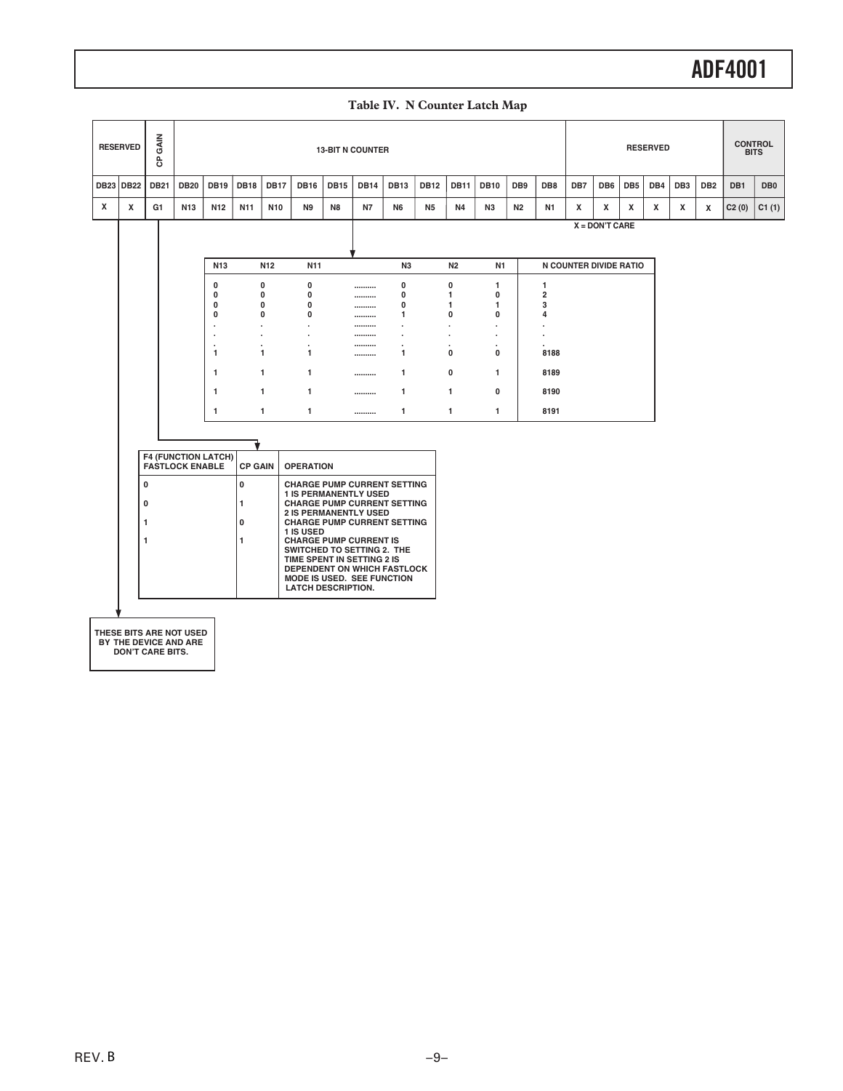| Table IV. N Counter Latch Map |  |
|-------------------------------|--|
|-------------------------------|--|

|             | <b>RESERVED</b> | GAIN<br>င်       |                                                      |                           |                |              |                                                          |             | <b>13-BIT N COUNTER</b> |                                                                  |                |                           |                                            |                 |                              |                        |                  |                 | <b>RESERVED</b> |                 |                 | <b>BITS</b> | <b>CONTROL</b>  |
|-------------|-----------------|------------------|------------------------------------------------------|---------------------------|----------------|--------------|----------------------------------------------------------|-------------|-------------------------|------------------------------------------------------------------|----------------|---------------------------|--------------------------------------------|-----------------|------------------------------|------------------------|------------------|-----------------|-----------------|-----------------|-----------------|-------------|-----------------|
| <b>DB23</b> | <b>DB22</b>     | <b>DB21</b>      | <b>DB20</b>                                          | <b>DB19</b>               | <b>DB18</b>    | <b>DB17</b>  | <b>DB16</b>                                              | <b>DB15</b> | <b>DB14</b>             | <b>DB13</b>                                                      | <b>DB12</b>    | <b>DB11</b>               | <b>DB10</b>                                | DB <sub>9</sub> | DB8                          | DB7                    | DB <sub>6</sub>  | DB <sub>5</sub> | DB4             | DB <sub>3</sub> | DB <sub>2</sub> | DB1         | DB <sub>0</sub> |
| x           | x               | G1               | N <sub>13</sub>                                      | N12                       | N11            | N10          | N <sub>9</sub>                                           | N8          | <b>N7</b>               | N <sub>6</sub>                                                   | N <sub>5</sub> | <b>N4</b>                 | N <sub>3</sub>                             | N <sub>2</sub>  | N1                           | х                      | x                | x               | х               | x               | x               | C2(0)       | C1(1)           |
|             |                 |                  |                                                      |                           |                |              |                                                          |             |                         |                                                                  |                |                           |                                            |                 |                              |                        | $X = DON'T CARE$ |                 |                 |                 |                 |             |                 |
|             |                 |                  |                                                      | <b>N13</b>                |                | <b>N12</b>   | N <sub>11</sub>                                          |             |                         | N3                                                               |                | N <sub>2</sub>            | N1                                         |                 |                              | N COUNTER DIVIDE RATIO |                  |                 |                 |                 |                 |             |                 |
|             |                 |                  |                                                      | 0<br>$\mathbf 0$          |                | 0<br>0       | 0<br>0                                                   |             | <br>                    | 0<br>$\mathbf 0$                                                 |                | 0<br>$\mathbf{1}$         | 1<br>$\mathbf{0}$                          |                 | 1<br>$\overline{\mathbf{2}}$ |                        |                  |                 |                 |                 |                 |             |                 |
|             |                 |                  |                                                      | $\pmb{0}$<br>$\pmb{0}$    |                | 0<br>0       | 0<br>0                                                   |             | <br>                    | $\mathbf 0$<br>1                                                 |                | $\mathbf{1}$<br>0         | $\mathbf{1}$<br>0                          |                 | 3<br>4                       |                        |                  |                 |                 |                 |                 |             |                 |
|             |                 |                  |                                                      | $\cdot$<br>$\blacksquare$ | ÷.             |              | $\ddot{\phantom{0}}$<br>ï                                |             | <br>                    | $\overline{\phantom{a}}$                                         |                | $\ddot{\phantom{0}}$<br>٠ | $\overline{\phantom{a}}$<br>$\blacksquare$ |                 |                              |                        |                  |                 |                 |                 |                 |             |                 |
|             |                 |                  |                                                      | $\mathbf{1}$              | ٠              | 1            | $\cdot$<br>1                                             |             | <br>                    | ٠<br>1                                                           |                | ٠<br>$\mathbf{0}$         | $\cdot$<br>$\mathbf{0}$                    |                 | 8188                         |                        |                  |                 |                 |                 |                 |             |                 |
|             |                 |                  |                                                      | $\mathbf{1}$              |                | $\mathbf{1}$ | $\mathbf{1}$                                             |             |                         | $\mathbf{1}$                                                     |                | 0                         | $\mathbf{1}$                               |                 | 8189                         |                        |                  |                 |                 |                 |                 |             |                 |
|             |                 |                  |                                                      | $\mathbf{1}$              |                | $\mathbf{1}$ | 1                                                        |             |                         | $\mathbf{1}$                                                     |                | $\mathbf{1}$              | $\mathbf{0}$                               |                 | 8190                         |                        |                  |                 |                 |                 |                 |             |                 |
|             |                 |                  |                                                      | $\mathbf{1}$              |                | $\mathbf{1}$ | $\mathbf{1}$                                             |             |                         | 1                                                                |                | 1                         | $\mathbf{1}$                               |                 | 8191                         |                        |                  |                 |                 |                 |                 |             |                 |
|             |                 |                  |                                                      |                           |                |              |                                                          |             |                         |                                                                  |                |                           |                                            |                 |                              |                        |                  |                 |                 |                 |                 |             |                 |
|             |                 |                  | <b>F4 (FUNCTION LATCH)</b><br><b>FASTLOCK ENABLE</b> |                           | <b>CP GAIN</b> |              | <b>OPERATION</b>                                         |             |                         |                                                                  |                |                           |                                            |                 |                              |                        |                  |                 |                 |                 |                 |             |                 |
|             |                 | 0                |                                                      |                           | $\mathbf 0$    |              |                                                          |             |                         | <b>CHARGE PUMP CURRENT SETTING</b>                               |                |                           |                                            |                 |                              |                        |                  |                 |                 |                 |                 |             |                 |
|             |                 | 0                |                                                      |                           | $\mathbf{1}$   |              | <b>1 IS PERMANENTLY USED</b>                             |             |                         | <b>CHARGE PUMP CURRENT SETTING</b>                               |                |                           |                                            |                 |                              |                        |                  |                 |                 |                 |                 |             |                 |
|             |                 | $\mathbf{1}$     |                                                      |                           | $\mathbf 0$    |              | <b>2 IS PERMANENTLY USED</b>                             |             |                         | <b>CHARGE PUMP CURRENT SETTING</b>                               |                |                           |                                            |                 |                              |                        |                  |                 |                 |                 |                 |             |                 |
|             |                 | 1                |                                                      |                           | $\mathbf{1}$   |              | 1 IS USED<br><b>CHARGE PUMP CURRENT IS</b>               |             |                         |                                                                  |                |                           |                                            |                 |                              |                        |                  |                 |                 |                 |                 |             |                 |
|             |                 |                  |                                                      |                           |                |              | SWITCHED TO SETTING 2. THE<br>TIME SPENT IN SETTING 2 IS |             |                         | DEPENDENT ON WHICH FASTLOCK<br><b>MODE IS USED. SEE FUNCTION</b> |                |                           |                                            |                 |                              |                        |                  |                 |                 |                 |                 |             |                 |
|             |                 |                  |                                                      |                           |                |              | <b>LATCH DESCRIPTION.</b>                                |             |                         |                                                                  |                |                           |                                            |                 |                              |                        |                  |                 |                 |                 |                 |             |                 |
|             |                 |                  |                                                      |                           |                |              |                                                          |             |                         |                                                                  |                |                           |                                            |                 |                              |                        |                  |                 |                 |                 |                 |             |                 |
|             |                 | DON'T CARE BITS. | THESE BITS ARE NOT USED<br>BY THE DEVICE AND ARE     |                           |                |              |                                                          |             |                         |                                                                  |                |                           |                                            |                 |                              |                        |                  |                 |                 |                 |                 |             |                 |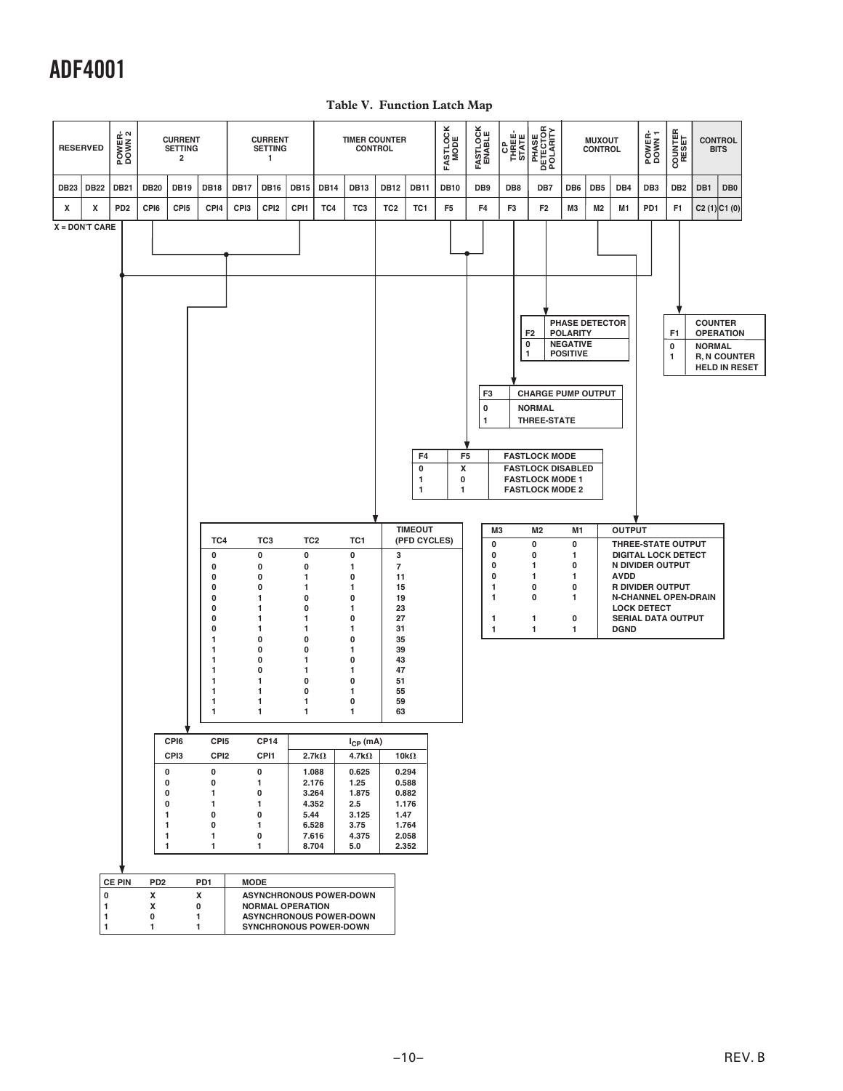**Table V. Function Latch Map**

|             | <b>RESERVED</b>                         | POWER-<br>DOWN 2 |                                                     | <b>CURRENT</b><br><b>SETTING</b><br>2                      |                                                                                                                                                                                                                                                                                        |                  | <b>CURRENT</b><br><b>SETTING</b><br>1                                                                                                                                                                                                                                           |                                                                                                                                    |                                                   | <b>TIMER COUNTER</b><br><b>CONTROL</b>                                                                                                                                                                                                                                                 |                                                                                                         |                                                                                                                                                       | <b>FASTLOCK</b><br>MODE | <b>FASTLOCK</b><br>ENABLE                                                                                   | <b>P</b><br>THREE-<br>STATE | PHASE<br>DETECTOR<br>POLARITY                                                                                                                                                                                 |                                                                                                                                                                                                   | <b>MUXOUT</b><br><b>CONTROL</b> |                                             | POWER-<br>DOWN 1                                                                                                                                                                  | <b>COUNTER</b><br>RESET  | <b>CONTROL</b><br><b>BITS</b>                                                                      |                 |  |
|-------------|-----------------------------------------|------------------|-----------------------------------------------------|------------------------------------------------------------|----------------------------------------------------------------------------------------------------------------------------------------------------------------------------------------------------------------------------------------------------------------------------------------|------------------|---------------------------------------------------------------------------------------------------------------------------------------------------------------------------------------------------------------------------------------------------------------------------------|------------------------------------------------------------------------------------------------------------------------------------|---------------------------------------------------|----------------------------------------------------------------------------------------------------------------------------------------------------------------------------------------------------------------------------------------------------------------------------------------|---------------------------------------------------------------------------------------------------------|-------------------------------------------------------------------------------------------------------------------------------------------------------|-------------------------|-------------------------------------------------------------------------------------------------------------|-----------------------------|---------------------------------------------------------------------------------------------------------------------------------------------------------------------------------------------------------------|---------------------------------------------------------------------------------------------------------------------------------------------------------------------------------------------------|---------------------------------|---------------------------------------------|-----------------------------------------------------------------------------------------------------------------------------------------------------------------------------------|--------------------------|----------------------------------------------------------------------------------------------------|-----------------|--|
| <b>DB23</b> | <b>DB22</b>                             | <b>DB21</b>      | <b>DB20</b>                                         | <b>DB19</b>                                                | <b>DB18</b>                                                                                                                                                                                                                                                                            | <b>DB17</b>      | <b>DB16</b>                                                                                                                                                                                                                                                                     | <b>DB15</b>                                                                                                                        | <b>DB14</b>                                       | <b>DB13</b>                                                                                                                                                                                                                                                                            | <b>DB12</b>                                                                                             | <b>DB11</b>                                                                                                                                           | <b>DB10</b>             | DB <sub>9</sub>                                                                                             | DB8                         | DB7                                                                                                                                                                                                           | DB6                                                                                                                                                                                               | DB <sub>5</sub>                 | DB4                                         | DB <sub>3</sub>                                                                                                                                                                   | DB <sub>2</sub>          | DB1                                                                                                | DB <sub>0</sub> |  |
| x           | x                                       | PD <sub>2</sub>  | CPI6                                                | CPI <sub>5</sub>                                           | CPI4                                                                                                                                                                                                                                                                                   | CP <sub>13</sub> | CPI <sub>2</sub>                                                                                                                                                                                                                                                                | CPI1                                                                                                                               | TC4                                               | TC <sub>3</sub>                                                                                                                                                                                                                                                                        | TC <sub>2</sub>                                                                                         | TC <sub>1</sub>                                                                                                                                       | F <sub>5</sub>          | F4                                                                                                          | F <sub>3</sub>              | F <sub>2</sub>                                                                                                                                                                                                | M3                                                                                                                                                                                                | M2                              | M1                                          | PD <sub>1</sub>                                                                                                                                                                   | F1                       | C2(1)C1(0)                                                                                         |                 |  |
|             | $X = DON'T CARE$<br>$\pmb{0}$<br>1<br>1 | <b>CE PIN</b>    | $\mathbf{1}$<br>1<br>PD <sub>2</sub><br>X<br>x<br>0 | CPI6<br>CPI3<br>0<br>0<br>$\pmb{0}$<br>$\pmb{0}$<br>1<br>1 | TC4<br>0<br>0<br>0<br>0<br>0<br>0<br>0<br>0<br>1<br>1<br>1<br>1<br>$\mathbf{1}$<br>$\mathbf{1}$<br>1<br>1<br>CPI <sub>5</sub><br>CPI <sub>2</sub><br>$\pmb{0}$<br>$\pmb{0}$<br>$\mathbf{1}$<br>$\mathbf{1}$<br>0<br>0<br>$\mathbf{1}$<br>$\mathbf{1}$<br>PD1<br>X<br>0<br>$\mathbf{1}$ | <b>MODE</b>      | TC <sub>3</sub><br>0<br>0<br>$\mathbf 0$<br>0<br>1<br>$\mathbf{1}$<br>1<br>1<br>$\pmb{0}$<br>$\pmb{0}$<br>0<br>$\pmb{0}$<br>$\mathbf{1}$<br>$\mathbf{1}$<br>1<br>$\mathbf{1}$<br><b>CP14</b><br>CPI1<br>0<br>1<br>0<br>1<br>0<br>1<br>$\pmb{0}$<br>1<br><b>NORMAL OPERATION</b> | TC <sub>2</sub><br>0<br>0<br>1<br>1<br>0<br>0<br>1<br>1<br>0<br>0<br>1<br>1<br>0<br>0<br>1<br>1<br>5.44<br>6.528<br>7.616<br>8.704 | 2.7k $\Omega$<br>1.088<br>2.176<br>3.264<br>4.352 | TC <sub>1</sub><br>$\pmb{0}$<br>1<br>0<br>1<br>0<br>1<br>0<br>1<br>0<br>1<br>0<br>1<br>0<br>1<br>0<br>1<br>$I_{\text{CP}}$ (mA)<br>4.7k $\Omega$<br>0.625<br>1.25<br>1.875<br>2.5<br>3.125<br>3.75<br>4.375<br>5.0<br><b>ASYNCHRONOUS POWER-DOWN</b><br><b>ASYNCHRONOUS POWER-DOWN</b> | 3<br>$\overline{7}$<br>11<br>15<br>19<br>23<br>27<br>31<br>35<br>39<br>43<br>47<br>51<br>55<br>59<br>63 | F4<br>0<br>$\mathbf{1}$<br>1<br><b>TIMEOUT</b><br>(PFD CYCLES)<br>10k $\Omega$<br>0.294<br>0.588<br>0.882<br>1.176<br>1.47<br>1.764<br>2.058<br>2.352 | X<br>0<br>1             | F3<br>0<br>1<br>F <sub>5</sub><br>M <sub>3</sub><br>$\pmb{0}$<br>0<br>0<br>0<br>1<br>1<br>1<br>$\mathbf{1}$ |                             | F <sub>2</sub><br>$\pmb{0}$<br>1<br><b>NORMAL</b><br>THREE-STATE<br><b>FASTLOCK MODE</b><br><b>FASTLOCK MODE 1</b><br><b>FASTLOCK MODE 2</b><br>M2<br>0<br>$\pmb{0}$<br>1<br>1<br>0<br>0<br>1<br>$\mathbf{1}$ | PHASE DETECTOR<br><b>POLARITY</b><br><b>NEGATIVE</b><br><b>POSITIVE</b><br><b>CHARGE PUMP OUTPUT</b><br><b>FASTLOCK DISABLED</b><br>M1<br>0<br>1<br>0<br>1<br>0<br>1<br>$\pmb{0}$<br>$\mathbf{1}$ |                                 | <b>OUTPUT</b><br><b>AVDD</b><br><b>DGND</b> | THREE-STATE OUTPUT<br><b>DIGITAL LOCK DETECT</b><br>N DIVIDER OUTPUT<br><b>R DIVIDER OUTPUT</b><br><b>N-CHANNEL OPEN-DRAIN</b><br><b>LOCK DETECT</b><br><b>SERIAL DATA OUTPUT</b> | F <sub>1</sub><br>0<br>1 | <b>COUNTER</b><br><b>OPERATION</b><br><b>NORMAL</b><br><b>R, N COUNTER</b><br><b>HELD IN RESET</b> |                 |  |
|             | 1                                       |                  | $\mathbf{1}$                                        |                                                            | $\mathbf{1}$                                                                                                                                                                                                                                                                           |                  |                                                                                                                                                                                                                                                                                 |                                                                                                                                    | SYNCHRONOUS POWER-DOWN                            |                                                                                                                                                                                                                                                                                        |                                                                                                         |                                                                                                                                                       |                         |                                                                                                             |                             |                                                                                                                                                                                                               |                                                                                                                                                                                                   |                                 |                                             |                                                                                                                                                                                   |                          |                                                                                                    |                 |  |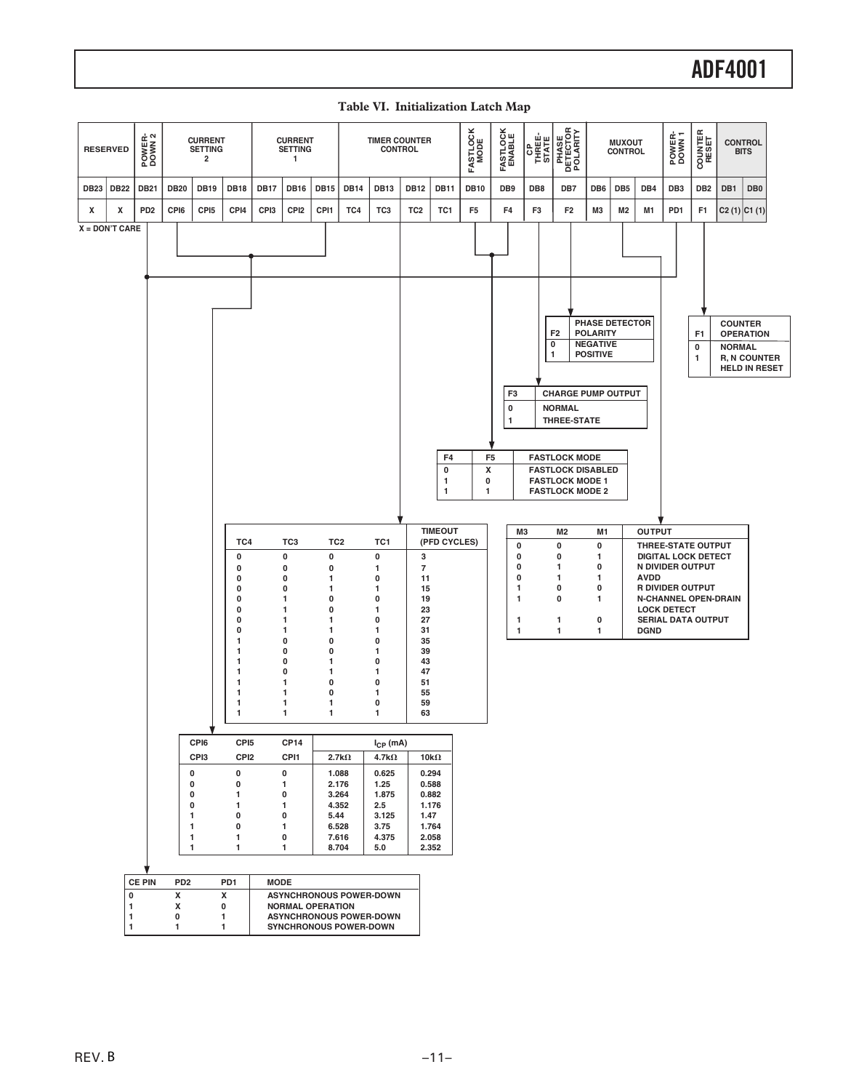| <b>RESERVED</b> |                  | POWER-<br>DOWN 2 |                                                                                 | <b>CURRENT</b><br><b>SETTING</b><br>$\overline{\mathbf{2}}$ |                                                                                                                                                                                                                                                  |                  | <b>CURRENT</b><br><b>SETTING</b><br>1                                                                                                                                                                 |                                                                                                                                                     |                                                                             | <b>TIMER COUNTER</b><br><b>CONTROL</b>                                                                                                                                                         |                                                                                                                 |                                                                                                                                            | <b>FASTLOCK</b><br>MODE          | <b>FASTLOCK</b><br>ENABLE                          | CP<br>THREE-<br>STATE                                                    |                                                                                                                                                                                                                                                                                                                     | <b>PHASE<br/>DETECTOR<br/>POLARITY</b> |                                                                                                                            | <b>MUXOUT</b><br><b>CONTROL</b> |                                             | POWER-<br>DOWN 1                                                                                                                                                                  | <b>COUNTER</b><br>RESET            |                                 | <b>CONTROL</b><br><b>BITS</b>                                   |  |
|-----------------|------------------|------------------|---------------------------------------------------------------------------------|-------------------------------------------------------------|--------------------------------------------------------------------------------------------------------------------------------------------------------------------------------------------------------------------------------------------------|------------------|-------------------------------------------------------------------------------------------------------------------------------------------------------------------------------------------------------|-----------------------------------------------------------------------------------------------------------------------------------------------------|-----------------------------------------------------------------------------|------------------------------------------------------------------------------------------------------------------------------------------------------------------------------------------------|-----------------------------------------------------------------------------------------------------------------|--------------------------------------------------------------------------------------------------------------------------------------------|----------------------------------|----------------------------------------------------|--------------------------------------------------------------------------|---------------------------------------------------------------------------------------------------------------------------------------------------------------------------------------------------------------------------------------------------------------------------------------------------------------------|----------------------------------------|----------------------------------------------------------------------------------------------------------------------------|---------------------------------|---------------------------------------------|-----------------------------------------------------------------------------------------------------------------------------------------------------------------------------------|------------------------------------|---------------------------------|-----------------------------------------------------------------|--|
| <b>DB23</b>     | <b>DB22</b>      | <b>DB21</b>      | <b>DB20</b>                                                                     | <b>DB19</b>                                                 | <b>DB18</b>                                                                                                                                                                                                                                      | <b>DB17</b>      | <b>DB16</b>                                                                                                                                                                                           | <b>DB15</b>                                                                                                                                         | <b>DB14</b>                                                                 | DB13                                                                                                                                                                                           | <b>DB12</b>                                                                                                     | <b>DB11</b>                                                                                                                                | <b>DB10</b>                      | DB <sub>9</sub>                                    | DB8                                                                      |                                                                                                                                                                                                                                                                                                                     | DB7                                    | DB <sub>6</sub>                                                                                                            | DB <sub>5</sub>                 | DB4                                         | DB <sub>3</sub>                                                                                                                                                                   | DB <sub>2</sub>                    | DB1                             | DB <sub>0</sub>                                                 |  |
| х               | х                | PD <sub>2</sub>  | CPI6                                                                            | CPI <sub>5</sub>                                            | CPI4                                                                                                                                                                                                                                             | CP <sub>13</sub> | CPI <sub>2</sub>                                                                                                                                                                                      | CPI1                                                                                                                                                | TC4                                                                         | TC3                                                                                                                                                                                            | TC <sub>2</sub>                                                                                                 | TC1                                                                                                                                        | F <sub>5</sub>                   | F <sub>4</sub>                                     | F3                                                                       |                                                                                                                                                                                                                                                                                                                     | F <sub>2</sub>                         | ΜЗ                                                                                                                         | M2                              | M1                                          | PD1                                                                                                                                                                               | F <sub>1</sub>                     |                                 | $C2(1)$ $C1(1)$                                                 |  |
|                 | $X = DON'T CARE$ |                  |                                                                                 |                                                             |                                                                                                                                                                                                                                                  |                  |                                                                                                                                                                                                       |                                                                                                                                                     |                                                                             |                                                                                                                                                                                                |                                                                                                                 |                                                                                                                                            |                                  |                                                    |                                                                          |                                                                                                                                                                                                                                                                                                                     |                                        |                                                                                                                            |                                 |                                             |                                                                                                                                                                                   |                                    |                                 |                                                                 |  |
|                 |                  | <b>CE PIN</b>    | $\pmb{0}$<br>$\pmb{0}$<br>0<br>$\pmb{0}$<br>1<br>1<br>1<br>1<br>PD <sub>2</sub> | CPI6<br>CPI3                                                | TC4<br>0<br>0<br>0<br>0<br>0<br>0<br>$\mathbf 0$<br>0<br>1<br>1<br>1<br>1<br>1<br>1<br>1<br>1<br>CPI <sub>5</sub><br>CPI <sub>2</sub><br>$\mathbf 0$<br>$\mathbf 0$<br>1<br>$\mathbf{1}$<br>$\bf{0}$<br>0<br>$\mathbf{1}$<br>$\mathbf{1}$<br>PD1 | <b>MODE</b>      | TC3<br>0<br>0<br>0<br>0<br>1<br>1<br>1<br>1<br>0<br>0<br>0<br>0<br>1<br>1<br>1<br>1<br><b>CP14</b><br>CPI1<br>$\pmb{0}$<br>$\mathbf{1}$<br>0<br>1<br>$\mathbf 0$<br>$\mathbf{1}$<br>0<br>$\mathbf{1}$ | TC <sub>2</sub><br>$\pmb{0}$<br>0<br>1<br>1<br>0<br>0<br>1<br>1<br>$\bf{0}$<br>0<br>1<br>1<br>$\bf{0}$<br>0<br>$\mathbf{1}$<br>$\mathbf{1}$<br>5.44 | $2.7k\Omega$<br>1.088<br>2.176<br>3.264<br>4.352<br>6.528<br>7.616<br>8.704 | TC1<br>0<br>1<br>0<br>1<br>0<br>1<br>0<br>1<br>0<br>1<br>0<br>1<br>0<br>1<br>0<br>1<br>$I_{\text{CP}}$ (mA)<br>4.7k $\Omega$<br>0.625<br>1.25<br>1.875<br>2.5<br>3.125<br>3.75<br>4.375<br>5.0 | 3<br>$\overline{7}$<br>11<br>15<br>19<br>23<br>27<br>31<br>35<br>39<br>43<br>47<br>51<br>55<br>59<br>63<br>1.47 | F4<br>$\pmb{0}$<br>1<br>1<br><b>TIMEOUT</b><br>(PFD CYCLES)<br>10k $\Omega$<br>0.294<br>0.588<br>0.882<br>1.176<br>1.764<br>2.058<br>2.352 | x<br>$\mathbf 0$<br>$\mathbf{1}$ | F <sub>3</sub><br>$\pmb{0}$<br>1<br>F <sub>5</sub> | MЗ<br>0<br>0<br>$\pmb{0}$<br>0<br>$\mathbf{1}$<br>1<br>1<br>$\mathbf{1}$ | F <sub>2</sub><br>0<br>$\mathbf{1}$<br><b>CHARGE PUMP OUTPUT</b><br><b>NORMAL</b><br><b>THREE-STATE</b><br><b>FASTLOCK MODE</b><br><b>FASTLOCK DISABLED</b><br><b>FASTLOCK MODE 1</b><br><b>FASTLOCK MODE 2</b><br>M <sub>2</sub><br>$\mathbf 0$<br>0<br>$\mathbf{1}$<br>1<br>0<br>$\mathbf 0$<br>1<br>$\mathbf{1}$ |                                        | <b>POLARITY</b><br><b>NEGATIVE</b><br><b>POSITIVE</b><br>M <sub>1</sub><br>0<br>1<br>0<br>1<br>0<br>1<br>0<br>$\mathbf{1}$ | PHASE DETECTOR                  | <b>OUTPUT</b><br><b>AVDD</b><br><b>DGND</b> | THREE-STATE OUTPUT<br><b>DIGITAL LOCK DETECT</b><br>N DIVIDER OUTPUT<br><b>R DIVIDER OUTPUT</b><br><b>N-CHANNEL OPEN-DRAIN</b><br><b>LOCK DETECT</b><br><b>SERIAL DATA OUTPUT</b> | F <sub>1</sub><br>$\mathbf 0$<br>1 | <b>COUNTER</b><br><b>NORMAL</b> | <b>OPERATION</b><br><b>R, N COUNTER</b><br><b>HELD IN RESET</b> |  |
|                 | $\pmb{0}$        |                  | X                                                                               |                                                             | x                                                                                                                                                                                                                                                |                  |                                                                                                                                                                                                       |                                                                                                                                                     |                                                                             | ASYNCHRONOUS POWER-DOWN                                                                                                                                                                        |                                                                                                                 |                                                                                                                                            |                                  |                                                    |                                                                          |                                                                                                                                                                                                                                                                                                                     |                                        |                                                                                                                            |                                 |                                             |                                                                                                                                                                                   |                                    |                                 |                                                                 |  |
|                 | 1<br>1           |                  | X<br>0                                                                          |                                                             | 0<br>1                                                                                                                                                                                                                                           |                  | <b>NORMAL OPERATION</b>                                                                                                                                                                               |                                                                                                                                                     |                                                                             | <b>ASYNCHRONOUS POWER-DOWN</b>                                                                                                                                                                 |                                                                                                                 |                                                                                                                                            |                                  |                                                    |                                                                          |                                                                                                                                                                                                                                                                                                                     |                                        |                                                                                                                            |                                 |                                             |                                                                                                                                                                                   |                                    |                                 |                                                                 |  |

**Table VI. Initialization Latch Map**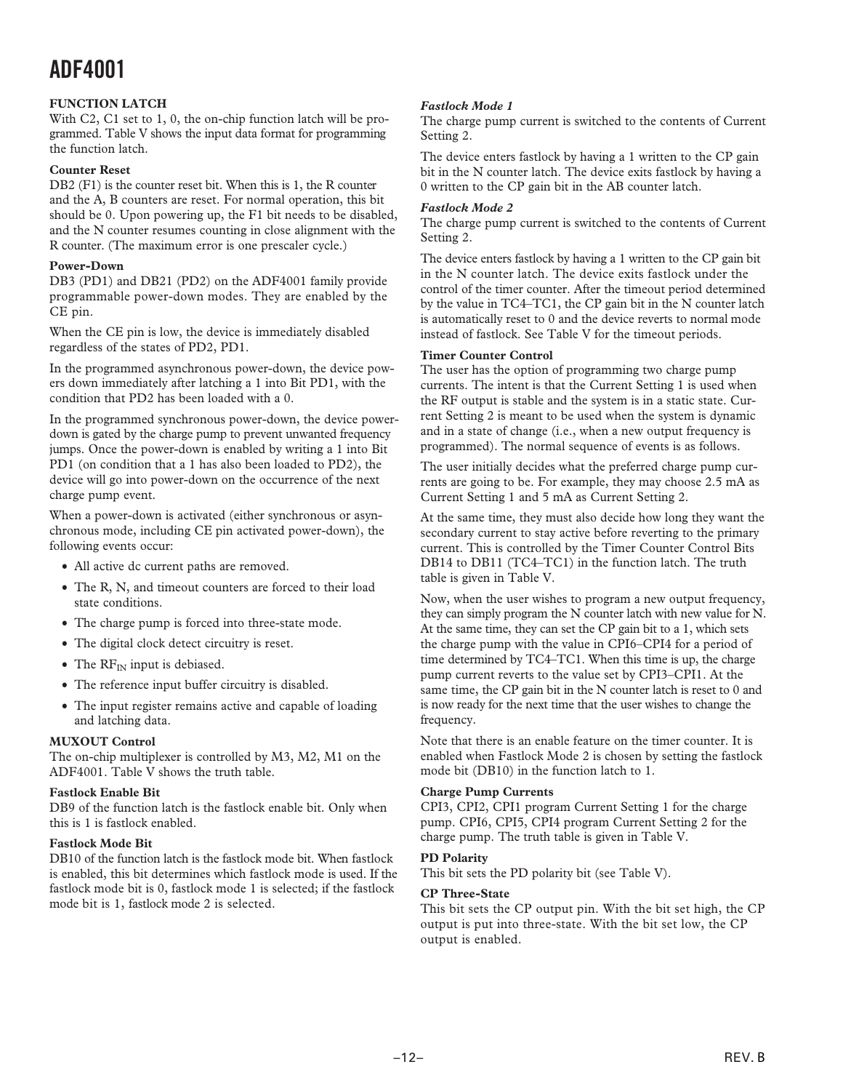#### **FUNCTION LATCH**

With C2, C1 set to 1, 0, the on-chip function latch will be programmed. Table V shows the input data format for programming the function latch.

#### **Counter Reset**

DB2 (F1) is the counter reset bit. When this is 1, the R counter and the A, B counters are reset. For normal operation, this bit should be 0. Upon powering up, the F1 bit needs to be disabled, and the N counter resumes counting in close alignment with the R counter. (The maximum error is one prescaler cycle.)

#### **Power-Down**

DB3 (PD1) and DB21 (PD2) on the ADF4001 family provide programmable power-down modes. They are enabled by the CE pin.

When the CE pin is low, the device is immediately disabled regardless of the states of PD2, PD1.

In the programmed asynchronous power-down, the device powers down immediately after latching a 1 into Bit PD1, with the condition that PD2 has been loaded with a 0.

In the programmed synchronous power-down, the device powerdown is gated by the charge pump to prevent unwanted frequency jumps. Once the power-down is enabled by writing a 1 into Bit PD1 (on condition that a 1 has also been loaded to PD2), the device will go into power-down on the occurrence of the next charge pump event.

When a power-down is activated (either synchronous or asynchronous mode, including CE pin activated power-down), the following events occur:

- All active dc current paths are removed.
- The R, N, and timeout counters are forced to their load state conditions.
- The charge pump is forced into three-state mode.
- The digital clock detect circuitry is reset.
- The  $RF_{IN}$  input is debiased.
- The reference input buffer circuitry is disabled.
- The input register remains active and capable of loading and latching data.

#### **MUXOUT Control**

The on-chip multiplexer is controlled by M3, M2, M1 on the ADF4001. Table V shows the truth table.

#### **Fastlock Enable Bit**

DB9 of the function latch is the fastlock enable bit. Only when this is 1 is fastlock enabled.

#### **Fastlock Mode Bit**

DB10 of the function latch is the fastlock mode bit. When fastlock is enabled, this bit determines which fastlock mode is used. If the fastlock mode bit is 0, fastlock mode 1 is selected; if the fastlock mode bit is 1, fastlock mode 2 is selected.

#### *Fastlock Mode 1*

The charge pump current is switched to the contents of Current Setting 2.

The device enters fastlock by having a 1 written to the CP gain bit in the N counter latch. The device exits fastlock by having a 0 written to the CP gain bit in the AB counter latch.

#### *Fastlock Mode 2*

The charge pump current is switched to the contents of Current Setting 2.

The device enters fastlock by having a 1 written to the CP gain bit in the N counter latch. The device exits fastlock under the control of the timer counter. After the timeout period determined by the value in TC4–TC1, the CP gain bit in the N counter latch is automatically reset to 0 and the device reverts to normal mode instead of fastlock. See Table V for the timeout periods.

#### **Timer Counter Control**

The user has the option of programming two charge pump currents. The intent is that the Current Setting 1 is used when the RF output is stable and the system is in a static state. Current Setting 2 is meant to be used when the system is dynamic and in a state of change (i.e., when a new output frequency is programmed). The normal sequence of events is as follows.

The user initially decides what the preferred charge pump currents are going to be. For example, they may choose 2.5 mA as Current Setting 1 and 5 mA as Current Setting 2.

At the same time, they must also decide how long they want the secondary current to stay active before reverting to the primary current. This is controlled by the Timer Counter Control Bits DB14 to DB11 (TC4–TC1) in the function latch. The truth table is given in Table V.

Now, when the user wishes to program a new output frequency, they can simply program the N counter latch with new value for N. At the same time, they can set the CP gain bit to a 1, which sets the charge pump with the value in CPI6–CPI4 for a period of time determined by TC4–TC1. When this time is up, the charge pump current reverts to the value set by CPI3–CPI1. At the same time, the CP gain bit in the N counter latch is reset to 0 and is now ready for the next time that the user wishes to change the frequency.

Note that there is an enable feature on the timer counter. It is enabled when Fastlock Mode 2 is chosen by setting the fastlock mode bit (DB10) in the function latch to 1.

#### **Charge Pump Currents**

CPI3, CPI2, CPI1 program Current Setting 1 for the charge pump. CPI6, CPI5, CPI4 program Current Setting 2 for the charge pump. The truth table is given in Table V.

#### **PD Polarity**

This bit sets the PD polarity bit (see Table V).

#### **CP Three-State**

This bit sets the CP output pin. With the bit set high, the CP output is put into three-state. With the bit set low, the CP output is enabled.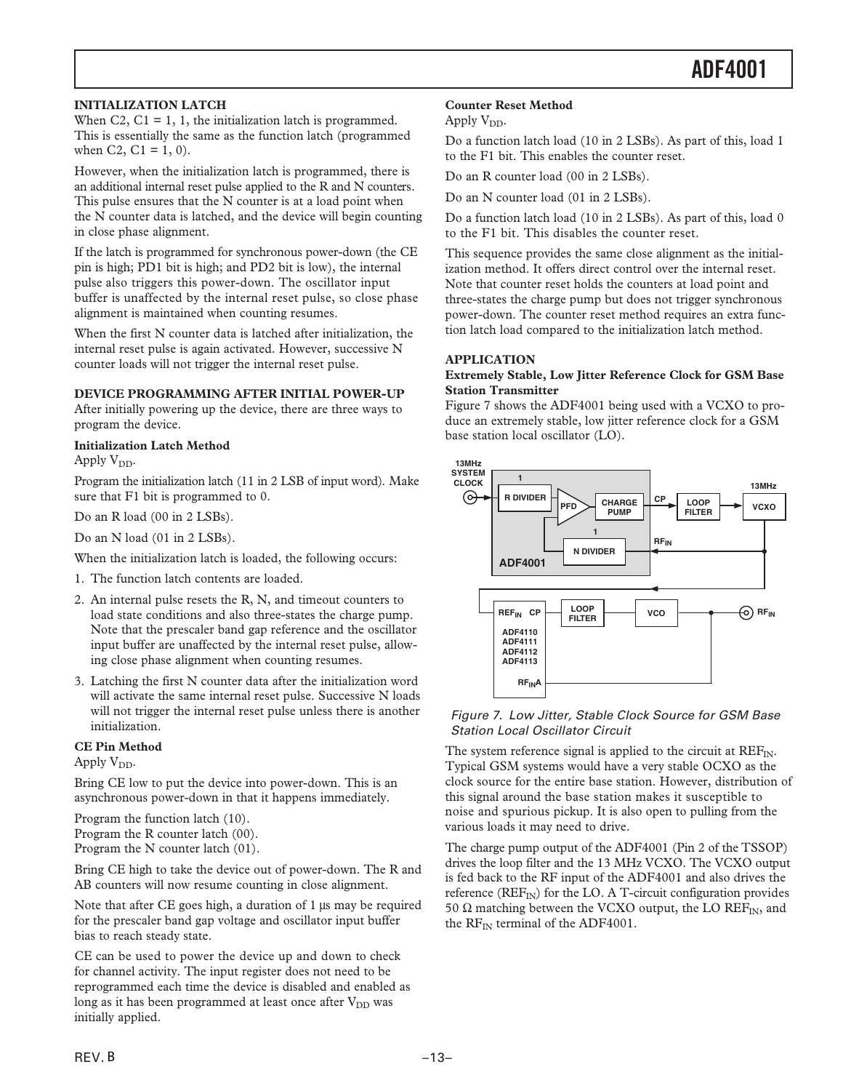#### **INITIALIZATION LATCH**

When  $C_2$ ,  $C_1 = 1$ , 1, the initialization latch is programmed. This is essentially the same as the function latch (programmed when C2, C1 =  $1, 0$ ).

However, when the initialization latch is programmed, there is an additional internal reset pulse applied to the R and N counters. This pulse ensures that the N counter is at a load point when the N counter data is latched, and the device will begin counting in close phase alignment.

If the latch is programmed for synchronous power-down (the CE pin is high; PD1 bit is high; and PD2 bit is low), the internal pulse also triggers this power-down. The oscillator input buffer is unaffected by the internal reset pulse, so close phase alignment is maintained when counting resumes.

When the first N counter data is latched after initialization, the internal reset pulse is again activated. However, successive N counter loads will not trigger the internal reset pulse.

#### **DEVICE PROGRAMMING AFTER INITIAL POWER-UP**

After initially powering up the device, there are three ways to program the device.

#### **Initialization Latch Method**

Apply  $V_{DD}$ .

Program the initialization latch (11 in 2 LSB of input word). Make sure that F1 bit is programmed to 0.

Do an R load (00 in 2 LSBs).

Do an N load (01 in 2 LSBs).

When the initialization latch is loaded, the following occurs:

- 1. The function latch contents are loaded.
- 2. An internal pulse resets the R, N, and timeout counters to load state conditions and also three-states the charge pump. Note that the prescaler band gap reference and the oscillator input buffer are unaffected by the internal reset pulse, allowing close phase alignment when counting resumes.
- 3. Latching the first N counter data after the initialization word will activate the same internal reset pulse. Successive N loads will not trigger the internal reset pulse unless there is another initialization.

#### **CE Pin Method**

Apply  $V_{DD}$ .

Bring CE low to put the device into power-down. This is an asynchronous power-down in that it happens immediately.

Program the function latch (10). Program the R counter latch (00).

Program the N counter latch (01).

Bring CE high to take the device out of power-down. The R and AB counters will now resume counting in close alignment.

Note that after CE goes high, a duration of 1  $\mu$ s may be required for the prescaler band gap voltage and oscillator input buffer bias to reach steady state.

CE can be used to power the device up and down to check for channel activity. The input register does not need to be reprogrammed each time the device is disabled and enabled as long as it has been programmed at least once after  $V_{DD}$  was initially applied.

#### **Counter Reset Method**

Apply  $V_{DD}$ .

Do a function latch load (10 in 2 LSBs). As part of this, load 1 to the F1 bit. This enables the counter reset.

Do an R counter load (00 in 2 LSBs).

Do an N counter load (01 in 2 LSBs).

Do a function latch load (10 in 2 LSBs). As part of this, load 0 to the F1 bit. This disables the counter reset.

This sequence provides the same close alignment as the initialization method. It offers direct control over the internal reset. Note that counter reset holds the counters at load point and three-states the charge pump but does not trigger synchronous power-down. The counter reset method requires an extra function latch load compared to the initialization latch method.

#### **APPLICATION**

#### **Extremely Stable, Low Jitter Reference Clock for GSM Base Station Transmitter**

Figure 7 shows the ADF4001 being used with a VCXO to produce an extremely stable, low jitter reference clock for a GSM base station local oscillator (LO).



#### Figure 7. Low Jitter, Stable Clock Source for GSM Base Station Local Oscillator Circuit

The system reference signal is applied to the circuit at  $REF_{IN}$ . Typical GSM systems would have a very stable OCXO as the clock source for the entire base station. However, distribution of this signal around the base station makes it susceptible to noise and spurious pickup. It is also open to pulling from the various loads it may need to drive.

The charge pump output of the ADF4001 (Pin 2 of the TSSOP) drives the loop filter and the 13 MHz VCXO. The VCXO output is fed back to the RF input of the ADF4001 and also drives the reference (REF<sub>IN</sub>) for the LO. A T-circuit configuration provides 50  $\Omega$  matching between the VCXO output, the LO REF<sub>IN</sub>, and the RF<sub>IN</sub> terminal of the ADF4001.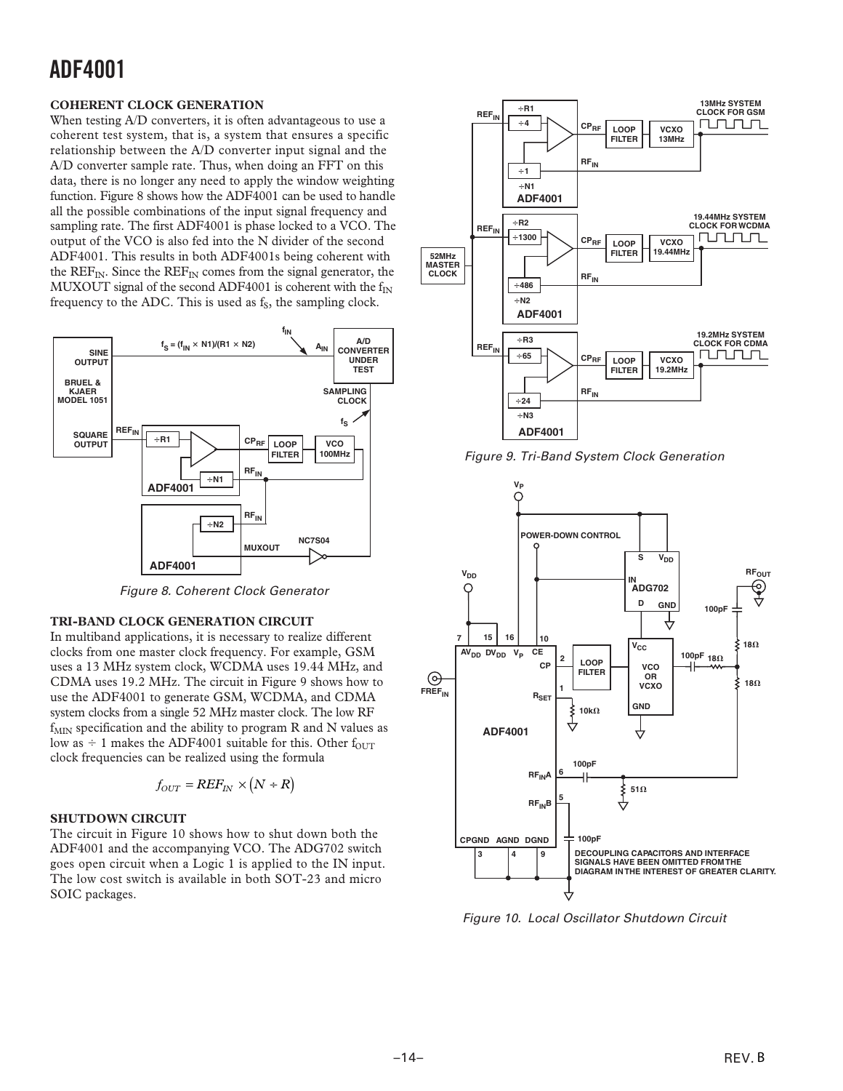#### **COHERENT CLOCK GENERATION**

When testing A/D converters, it is often advantageous to use a coherent test system, that is, a system that ensures a specific relationship between the A/D converter input signal and the A/D converter sample rate. Thus, when doing an FFT on this data, there is no longer any need to apply the window weighting function. Figure 8 shows how the ADF4001 can be used to handle all the possible combinations of the input signal frequency and sampling rate. The first ADF4001 is phase locked to a VCO. The output of the VCO is also fed into the N divider of the second ADF4001. This results in both ADF4001s being coherent with the  $REF_{IN}$ . Since the  $REF_{IN}$  comes from the signal generator, the MUXOUT signal of the second ADF4001 is coherent with the  $f_{IN}$ frequency to the ADC. This is used as  $f<sub>S</sub>$ , the sampling clock.



Figure 8. Coherent Clock Generator

#### **TRI-BAND CLOCK GENERATION CIRCUIT**

In multiband applications, it is necessary to realize different clocks from one master clock frequency. For example, GSM uses a 13 MHz system clock, WCDMA uses 19.44 MHz, and CDMA uses 19.2 MHz. The circuit in Figure 9 shows how to use the ADF4001 to generate GSM, WCDMA, and CDMA system clocks from a single 52 MHz master clock. The low RF  $f_{MIN}$  specification and the ability to program R and N values as low as  $\div$  1 makes the ADF4001 suitable for this. Other f<sub>OUT</sub> clock frequencies can be realized using the formula

$$
f_{OUT} = REF_{IN} \times (N + R)
$$

#### **SHUTDOWN CIRCUIT**

The circuit in Figure 10 shows how to shut down both the ADF4001 and the accompanying VCO. The ADG702 switch goes open circuit when a Logic 1 is applied to the IN input. The low cost switch is available in both SOT-23 and micro SOIC packages.



Figure 9. Tri-Band System Clock Generation



Figure 10. Local Oscillator Shutdown Circuit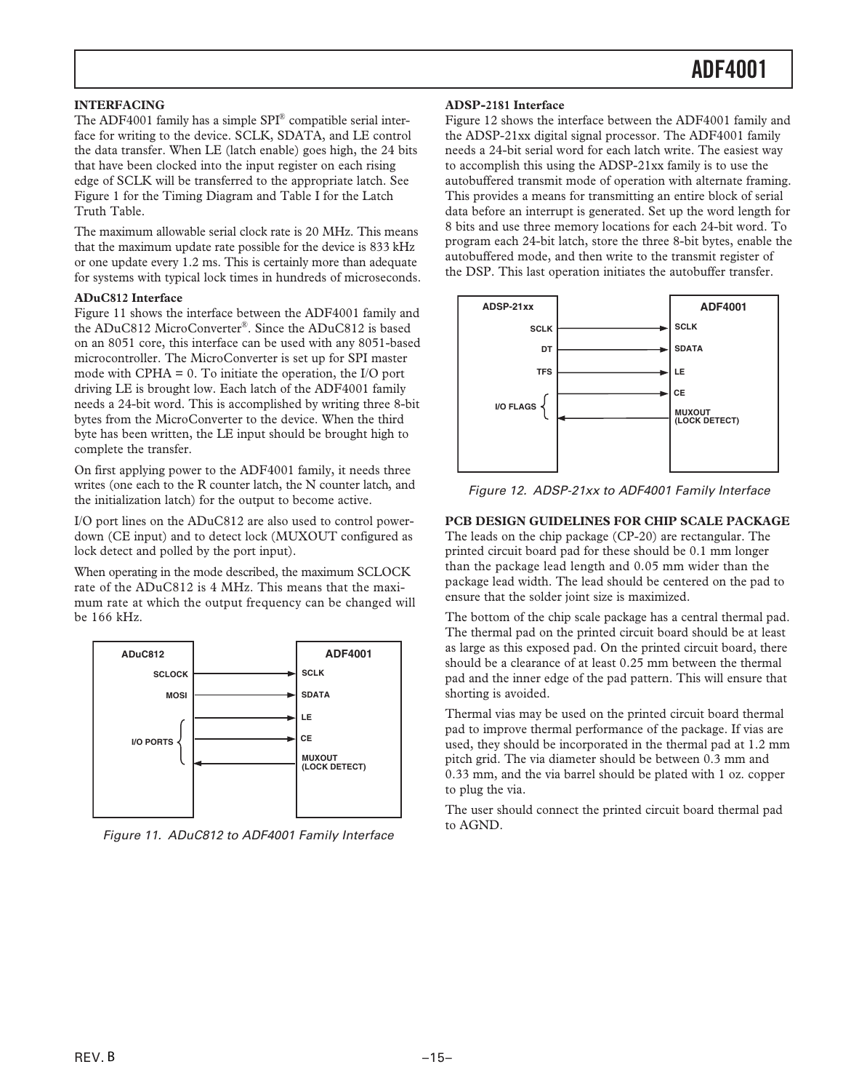#### **INTERFACING**

The ADF4001 family has a simple  $SPI^{\circledR}$  compatible serial interface for writing to the device. SCLK, SDATA, and LE control the data transfer. When LE (latch enable) goes high, the 24 bits that have been clocked into the input register on each rising edge of SCLK will be transferred to the appropriate latch. See Figure 1 for the Timing Diagram and Table I for the Latch Truth Table.

The maximum allowable serial clock rate is 20 MHz. This means that the maximum update rate possible for the device is 833 kHz or one update every 1.2 ms. This is certainly more than adequate for systems with typical lock times in hundreds of microseconds.

#### **ADuC812 Interface**

Figure 11 shows the interface between the ADF4001 family and the ADuC812 MicroConverter®. Since the ADuC812 is based on an 8051 core, this interface can be used with any 8051-based microcontroller. The MicroConverter is set up for SPI master mode with CPHA = 0. To initiate the operation, the I/O port driving LE is brought low. Each latch of the ADF4001 family needs a 24-bit word. This is accomplished by writing three 8-bit bytes from the MicroConverter to the device. When the third byte has been written, the LE input should be brought high to complete the transfer.

On first applying power to the ADF4001 family, it needs three writes (one each to the R counter latch, the N counter latch, and the initialization latch) for the output to become active.

I/O port lines on the ADuC812 are also used to control powerdown (CE input) and to detect lock (MUXOUT configured as lock detect and polled by the port input).

When operating in the mode described, the maximum SCLOCK rate of the ADuC812 is 4 MHz. This means that the maximum rate at which the output frequency can be changed will be 166 kHz.



Figure 11. ADuC812 to ADF4001 Family Interface

#### **ADSP-2181 Interface**

Figure 12 shows the interface between the ADF4001 family and the ADSP-21xx digital signal processor. The ADF4001 family needs a 24-bit serial word for each latch write. The easiest way to accomplish this using the ADSP-21xx family is to use the autobuffered transmit mode of operation with alternate framing. This provides a means for transmitting an entire block of serial data before an interrupt is generated. Set up the word length for 8 bits and use three memory locations for each 24-bit word. To program each 24-bit latch, store the three 8-bit bytes, enable the autobuffered mode, and then write to the transmit register of the DSP. This last operation initiates the autobuffer transfer.



Figure 12. ADSP-21xx to ADF4001 Family Interface

#### **PCB DESIGN GUIDELINES FOR CHIP SCALE PACKAGE**

The leads on the chip package (CP-20) are rectangular. The printed circuit board pad for these should be 0.1 mm longer than the package lead length and 0.05 mm wider than the package lead width. The lead should be centered on the pad to ensure that the solder joint size is maximized.

The bottom of the chip scale package has a central thermal pad. The thermal pad on the printed circuit board should be at least as large as this exposed pad. On the printed circuit board, there should be a clearance of at least 0.25 mm between the thermal pad and the inner edge of the pad pattern. This will ensure that shorting is avoided.

Thermal vias may be used on the printed circuit board thermal pad to improve thermal performance of the package. If vias are used, they should be incorporated in the thermal pad at 1.2 mm pitch grid. The via diameter should be between 0.3 mm and 0.33 mm, and the via barrel should be plated with 1 oz. copper to plug the via.

The user should connect the printed circuit board thermal pad to AGND.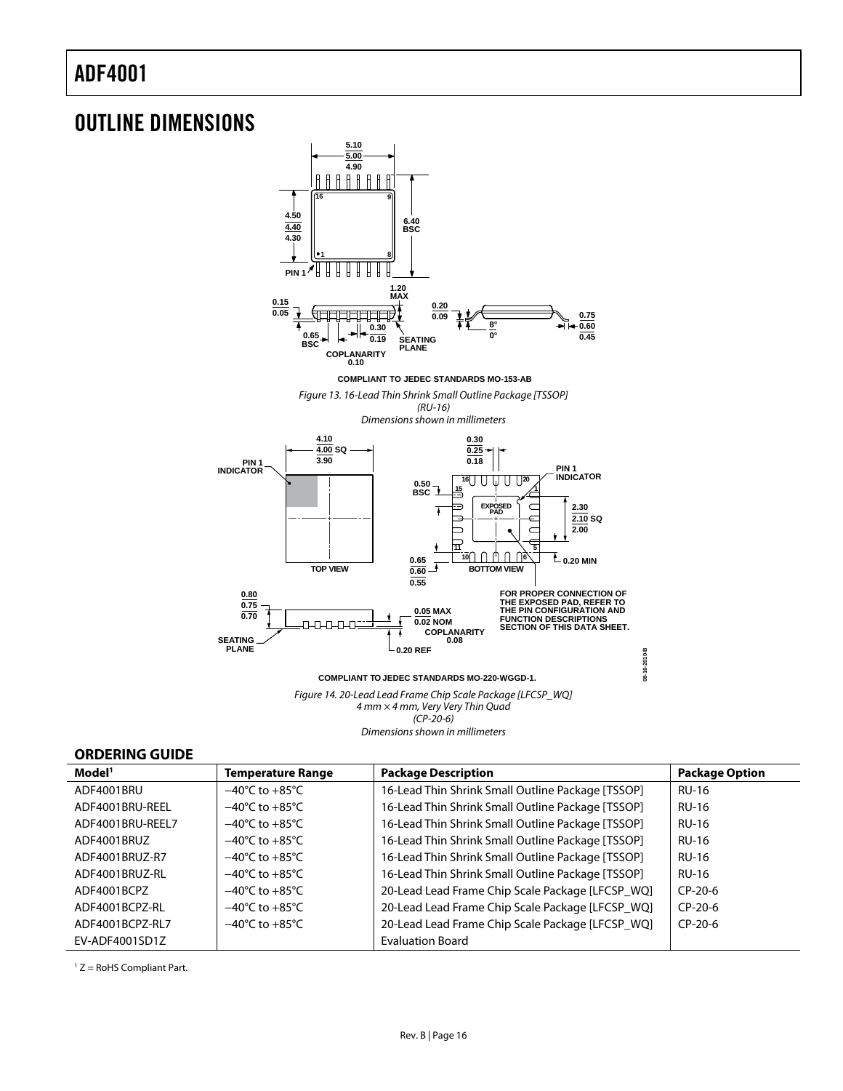### OUTLINE DIMENSIONS



**COMPLIANT TO JEDEC STANDARDS MO-220-WGGD-1.**

Figure 14. 20-Lead Lead Frame Chip Scale Package [LFCSP\_WQ] 4 mm × 4 mm, Very Very Thin Quad  $(CP-2O-6)$ Dimensions shown in millimeters

**08-16-2010-B**

08-16-2010-B

#### **ORDERING GUIDE**

| Model <sup>1</sup> | <b>Temperature Range</b>           | <b>Package Description</b>                        | <b>Package Option</b> |
|--------------------|------------------------------------|---------------------------------------------------|-----------------------|
| ADF4001BRU         | $-40^{\circ}$ C to $+85^{\circ}$ C | 16-Lead Thin Shrink Small Outline Package [TSSOP] | <b>RU-16</b>          |
| ADF4001BRU-REEL    | $-40^{\circ}$ C to $+85^{\circ}$ C | 16-Lead Thin Shrink Small Outline Package [TSSOP] | <b>RU-16</b>          |
| ADF4001BRU-REEL7   | $-40^{\circ}$ C to $+85^{\circ}$ C | 16-Lead Thin Shrink Small Outline Package [TSSOP] | <b>RU-16</b>          |
| ADF4001BRUZ        | $-40^{\circ}$ C to $+85^{\circ}$ C | 16-Lead Thin Shrink Small Outline Package [TSSOP] | <b>RU-16</b>          |
| ADF4001BRUZ-R7     | $-40^{\circ}$ C to $+85^{\circ}$ C | 16-Lead Thin Shrink Small Outline Package [TSSOP] | <b>RU-16</b>          |
| ADF4001BRUZ-RL     | $-40^{\circ}$ C to $+85^{\circ}$ C | 16-Lead Thin Shrink Small Outline Package [TSSOP] | <b>RU-16</b>          |
| ADF4001BCPZ        | $-40^{\circ}$ C to $+85^{\circ}$ C | 20-Lead Lead Frame Chip Scale Package [LFCSP_WQ]  | $CP-20-6$             |
| ADF4001BCPZ-RI     | $-40^{\circ}$ C to $+85^{\circ}$ C | 20-Lead Lead Frame Chip Scale Package [LFCSP_WQ]  | $CP-20-6$             |
| ADF4001BCPZ-RL7    | $-40^{\circ}$ C to $+85^{\circ}$ C | 20-Lead Lead Frame Chip Scale Package [LFCSP_WQ]  | $CP-20-6$             |
| EV-ADF4001SD1Z     |                                    | <b>Evaluation Board</b>                           |                       |

1 Z = RoHS Compliant Part.